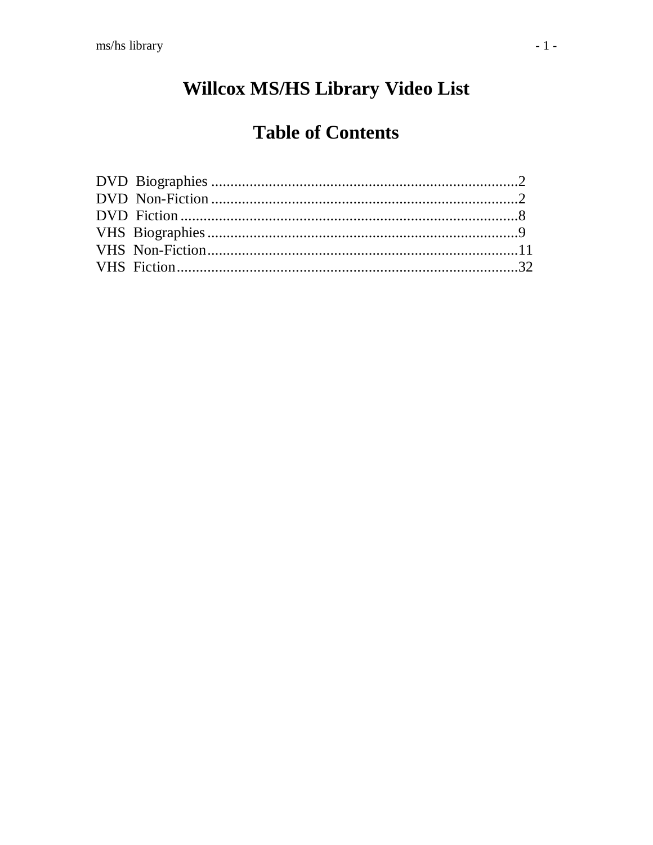# Willcox MS/HS Library Video List

## **Table of Contents**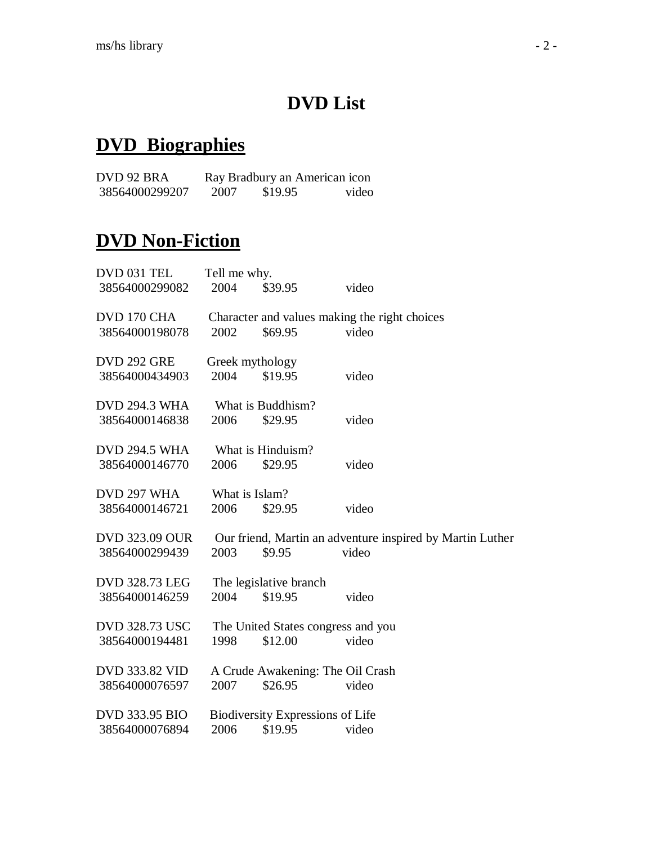## **DVD List**

#### **DVD Biographies**

DVD 92 BRA Ray Bradbury an American icon<br>38564000299207 2007 \$19.95 video 38564000299207

### **DVD Non-Fiction**

| DVD 031 TEL           | Tell me why. |                                         |                                                           |  |
|-----------------------|--------------|-----------------------------------------|-----------------------------------------------------------|--|
| 38564000299082        | 2004         | \$39.95                                 | video                                                     |  |
| DVD 170 CHA           |              |                                         | Character and values making the right choices             |  |
| 38564000198078        | 2002         | \$69.95                                 | video                                                     |  |
| DVD 292 GRE           |              | Greek mythology                         |                                                           |  |
| 38564000434903        | 2004         | \$19.95                                 | video                                                     |  |
| <b>DVD 294.3 WHA</b>  |              | What is Buddhism?                       |                                                           |  |
| 38564000146838        | 2006         | \$29.95                                 | video                                                     |  |
| <b>DVD 294.5 WHA</b>  |              | What is Hinduism?                       |                                                           |  |
| 38564000146770        | 2006         | \$29.95                                 | video                                                     |  |
| DVD 297 WHA           |              | What is Islam?                          |                                                           |  |
| 38564000146721        | 2006         | \$29.95                                 | video                                                     |  |
| <b>DVD 323.09 OUR</b> |              |                                         | Our friend, Martin an adventure inspired by Martin Luther |  |
| 38564000299439        | 2003         | \$9.95                                  | video                                                     |  |
| <b>DVD 328.73 LEG</b> |              | The legislative branch                  |                                                           |  |
| 38564000146259        | 2004         | \$19.95                                 | video                                                     |  |
| <b>DVD 328.73 USC</b> |              |                                         | The United States congress and you                        |  |
| 38564000194481        | 1998         | \$12.00                                 | video                                                     |  |
| DVD 333.82 VID        |              |                                         | A Crude Awakening: The Oil Crash                          |  |
| 38564000076597        | 2007         | \$26.95                                 | video                                                     |  |
| <b>DVD 333.95 BIO</b> |              | <b>Biodiversity Expressions of Life</b> |                                                           |  |
| 38564000076894        | 2006         | \$19.95                                 | video                                                     |  |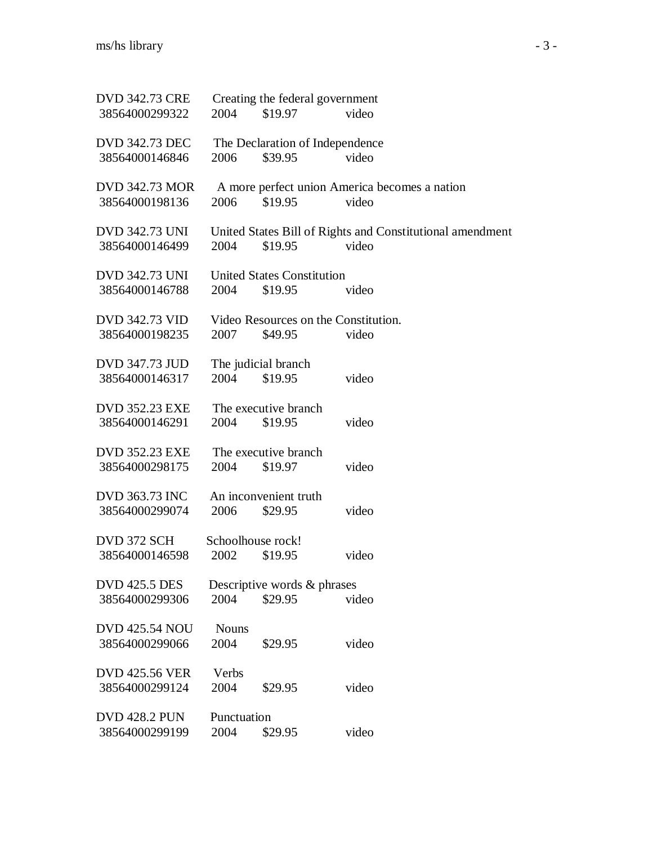| <b>DVD 342.73 CRE</b>                   |               | Creating the federal government      |                                                           |
|-----------------------------------------|---------------|--------------------------------------|-----------------------------------------------------------|
| 38564000299322                          | 2004          | \$19.97                              | video                                                     |
| <b>DVD 342.73 DEC</b>                   |               | The Declaration of Independence      |                                                           |
| 38564000146846                          | 2006          | \$39.95                              | video                                                     |
| <b>DVD 342.73 MOR</b>                   |               |                                      | A more perfect union America becomes a nation             |
| 38564000198136                          | 2006          | \$19.95                              | video                                                     |
| <b>DVD 342.73 UNI</b>                   |               |                                      | United States Bill of Rights and Constitutional amendment |
| 38564000146499                          | 2004          | \$19.95                              | video                                                     |
| <b>DVD 342.73 UNI</b>                   |               | <b>United States Constitution</b>    |                                                           |
| 38564000146788                          | 2004          | \$19.95                              | video                                                     |
| <b>DVD 342.73 VID</b>                   |               | Video Resources on the Constitution. |                                                           |
| 38564000198235                          | 2007          | \$49.95                              | video                                                     |
|                                         |               |                                      |                                                           |
| DVD 347.73 JUD<br>38564000146317        | 2004          | The judicial branch<br>\$19.95       | video                                                     |
|                                         |               |                                      |                                                           |
| <b>DVD 352.23 EXE</b><br>38564000146291 | 2004          | The executive branch<br>\$19.95      | video                                                     |
|                                         |               |                                      |                                                           |
| <b>DVD 352.23 EXE</b>                   |               | The executive branch                 |                                                           |
| 38564000298175                          | 2004          | \$19.97                              | video                                                     |
| <b>DVD 363.73 INC</b>                   |               | An inconvenient truth                |                                                           |
| 38564000299074                          | 2006          | \$29.95                              | video                                                     |
| DVD 372 SCH                             |               | Schoolhouse rock!                    |                                                           |
| 38564000146598                          | 2002          | \$19.95                              | video                                                     |
| <b>DVD 425.5 DES</b>                    |               | Descriptive words & phrases          |                                                           |
| 38564000299306                          | 2004          | \$29.95                              | video                                                     |
| <b>DVD 425.54 NOU</b>                   | <b>Nouns</b>  |                                      |                                                           |
| 38564000299066                          | 2004          | \$29.95                              | video                                                     |
|                                         |               |                                      |                                                           |
| <b>DVD 425.56 VER</b><br>38564000299124 | Verbs<br>2004 | \$29.95                              | video                                                     |
|                                         |               |                                      |                                                           |
| <b>DVD 428.2 PUN</b>                    | Punctuation   |                                      |                                                           |
| 38564000299199                          | 2004          | \$29.95                              | video                                                     |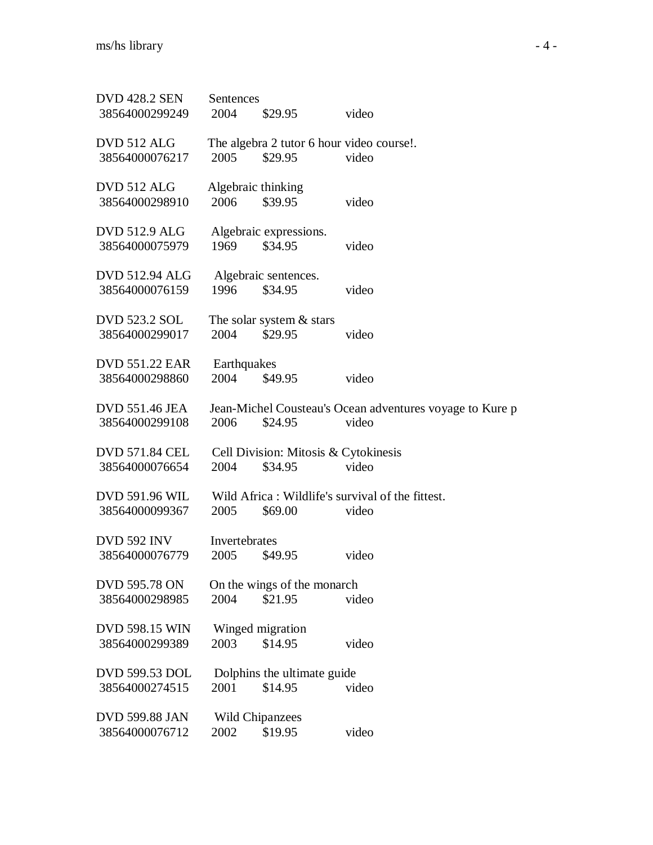| <b>DVD 428.2 SEN</b>  | Sentences          |                                           |                                                          |
|-----------------------|--------------------|-------------------------------------------|----------------------------------------------------------|
| 38564000299249        | 2004               | \$29.95                                   | video                                                    |
|                       |                    |                                           |                                                          |
| DVD 512 ALG           |                    | The algebra 2 tutor 6 hour video course!. |                                                          |
| 38564000076217        | 2005               | \$29.95                                   | video                                                    |
| DVD 512 ALG           | Algebraic thinking |                                           |                                                          |
| 38564000298910        | 2006               | \$39.95                                   | video                                                    |
|                       |                    |                                           |                                                          |
| <b>DVD 512.9 ALG</b>  |                    | Algebraic expressions.                    |                                                          |
| 38564000075979        | 1969               | \$34.95                                   | video                                                    |
|                       |                    |                                           |                                                          |
| <b>DVD 512.94 ALG</b> |                    | Algebraic sentences.                      |                                                          |
| 38564000076159        | 1996               | \$34.95                                   | video                                                    |
| <b>DVD 523.2 SOL</b>  |                    | The solar system $&$ stars                |                                                          |
| 38564000299017        | 2004               | \$29.95                                   | video                                                    |
|                       |                    |                                           |                                                          |
| <b>DVD 551.22 EAR</b> | Earthquakes        |                                           |                                                          |
| 38564000298860        | 2004               | \$49.95                                   | video                                                    |
|                       |                    |                                           |                                                          |
| <b>DVD 551.46 JEA</b> |                    |                                           | Jean-Michel Cousteau's Ocean adventures voyage to Kure p |
| 38564000299108        | 2006               | \$24.95                                   | video                                                    |
|                       |                    |                                           |                                                          |
| DVD 571.84 CEL        |                    | Cell Division: Mitosis & Cytokinesis      |                                                          |
| 38564000076654        | 2004               | \$34.95                                   | video                                                    |
|                       |                    |                                           |                                                          |
| <b>DVD 591.96 WIL</b> |                    |                                           | Wild Africa: Wildlife's survival of the fittest.         |
| 38564000099367        | 2005               | \$69.00                                   | video                                                    |
| <b>DVD 592 INV</b>    | Invertebrates      |                                           |                                                          |
| 38564000076779        | 2005               | \$49.95                                   | video                                                    |
|                       |                    |                                           |                                                          |
| <b>DVD 595.78 ON</b>  |                    | On the wings of the monarch               |                                                          |
| 38564000298985        | 2004               | \$21.95                                   | video                                                    |
|                       |                    |                                           |                                                          |
| <b>DVD 598.15 WIN</b> |                    | Winged migration                          |                                                          |
| 38564000299389        | 2003               | \$14.95                                   | video                                                    |
|                       |                    |                                           |                                                          |
| <b>DVD 599.53 DOL</b> |                    | Dolphins the ultimate guide               |                                                          |
| 38564000274515        | 2001               | \$14.95                                   | video                                                    |
| <b>DVD 599.88 JAN</b> |                    | <b>Wild Chipanzees</b>                    |                                                          |
| 38564000076712        | 2002               | \$19.95                                   | video                                                    |
|                       |                    |                                           |                                                          |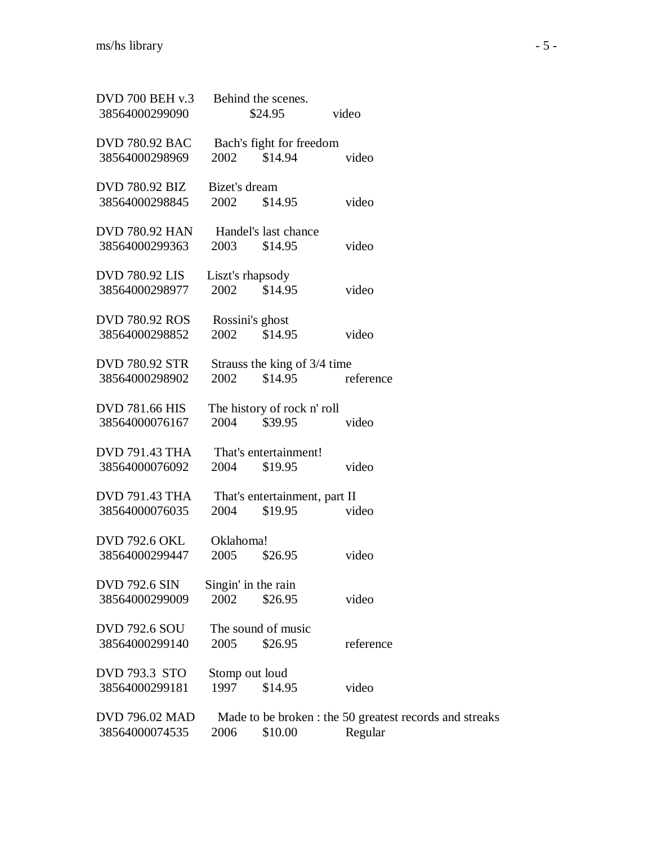| <b>DVD 700 BEH v.3</b> | Behind the scenes.            |                                                         |
|------------------------|-------------------------------|---------------------------------------------------------|
| 38564000299090         | \$24.95                       | video                                                   |
| <b>DVD 780.92 BAC</b>  | Bach's fight for freedom      |                                                         |
| 38564000298969         | \$14.94<br>2002               | video                                                   |
| <b>DVD 780.92 BIZ</b>  | Bizet's dream                 |                                                         |
| 38564000298845         | \$14.95<br>2002               | video                                                   |
| <b>DVD 780.92 HAN</b>  | Handel's last chance          |                                                         |
| 38564000299363         | \$14.95<br>2003               | video                                                   |
|                        |                               |                                                         |
| <b>DVD 780.92 LIS</b>  | Liszt's rhapsody              |                                                         |
| 38564000298977         | 2002<br>\$14.95               | video                                                   |
| <b>DVD 780.92 ROS</b>  | Rossini's ghost               |                                                         |
| 38564000298852         | 2002<br>\$14.95               | video                                                   |
| <b>DVD 780.92 STR</b>  | Strauss the king of 3/4 time  |                                                         |
| 38564000298902         | 2002<br>\$14.95               | reference                                               |
|                        |                               |                                                         |
| <b>DVD 781.66 HIS</b>  | The history of rock n' roll   |                                                         |
| 38564000076167         | \$39.95<br>2004               | video                                                   |
| <b>DVD 791.43 THA</b>  | That's entertainment!         |                                                         |
| 38564000076092         | 2004<br>\$19.95               | video                                                   |
| <b>DVD 791.43 THA</b>  | That's entertainment, part II |                                                         |
| 38564000076035         | 2004<br>\$19.95               | video                                                   |
|                        |                               |                                                         |
| <b>DVD 792.6 OKL</b>   | Oklahoma!                     |                                                         |
| 38564000299447         | 2005<br>\$26.95               | video                                                   |
| <b>DVD 792.6 SIN</b>   | Singin' in the rain           |                                                         |
| 38564000299009         | 2002<br>\$26.95               | video                                                   |
| <b>DVD 792.6 SOU</b>   | The sound of music            |                                                         |
| 38564000299140         | 2005<br>\$26.95               | reference                                               |
|                        |                               |                                                         |
| <b>DVD 793.3 STO</b>   | Stomp out loud                |                                                         |
| 38564000299181         | 1997<br>\$14.95               | video                                                   |
| <b>DVD 796.02 MAD</b>  |                               | Made to be broken : the 50 greatest records and streaks |
| 38564000074535         | 2006<br>\$10.00               | Regular                                                 |
|                        |                               |                                                         |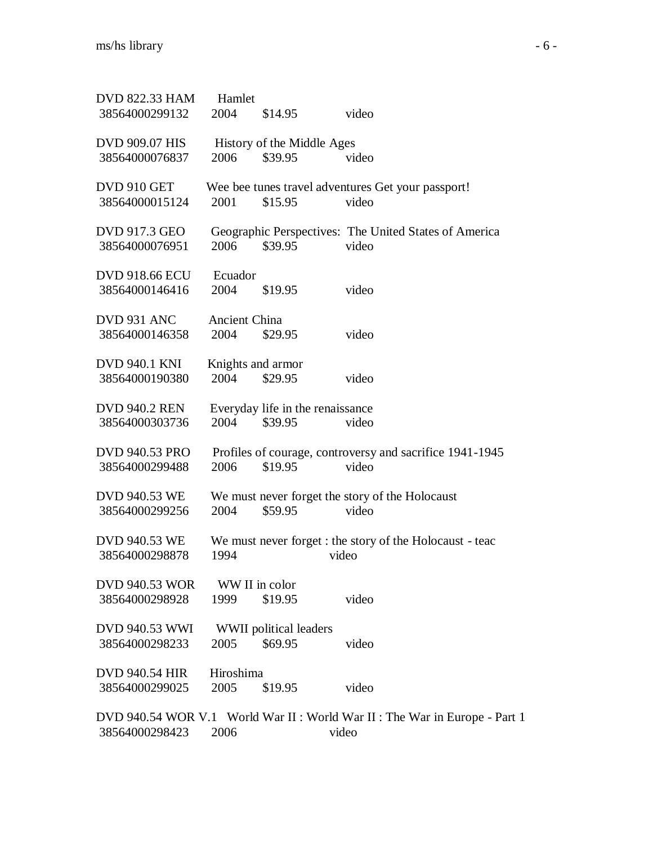| <b>DVD 822.33 HAM</b> | Hamlet               |                                  |                                                                           |
|-----------------------|----------------------|----------------------------------|---------------------------------------------------------------------------|
| 38564000299132        | 2004                 | \$14.95                          | video                                                                     |
| DVD 909.07 HIS        |                      | History of the Middle Ages       |                                                                           |
| 38564000076837        | 2006                 | \$39.95                          | video                                                                     |
| DVD 910 GET           |                      |                                  | Wee bee tunes travel adventures Get your passport!                        |
| 38564000015124        | 2001                 | \$15.95                          | video                                                                     |
| DVD 917.3 GEO         |                      |                                  | Geographic Perspectives: The United States of America                     |
| 38564000076951        | 2006                 | \$39.95                          | video                                                                     |
| DVD 918.66 ECU        | Ecuador              |                                  |                                                                           |
| 38564000146416        | 2004                 | \$19.95                          | video                                                                     |
| DVD 931 ANC           | <b>Ancient China</b> |                                  |                                                                           |
| 38564000146358        | 2004                 | \$29.95                          | video                                                                     |
| DVD 940.1 KNI         | Knights and armor    |                                  |                                                                           |
| 38564000190380        | 2004                 | \$29.95                          | video                                                                     |
| DVD 940.2 REN         |                      | Everyday life in the renaissance |                                                                           |
| 38564000303736        | 2004                 | \$39.95                          | video                                                                     |
| DVD 940.53 PRO        |                      |                                  | Profiles of courage, controversy and sacrifice 1941-1945                  |
| 38564000299488        | 2006                 | \$19.95                          | video                                                                     |
| DVD 940.53 WE         |                      |                                  | We must never forget the story of the Holocaust                           |
| 38564000299256        | 2004                 | \$59.95                          | video                                                                     |
| DVD 940.53 WE         |                      |                                  | We must never forget : the story of the Holocaust - teac                  |
| 38564000298878        | 1994                 |                                  | video                                                                     |
| DVD 940.53 WOR        | WW II in color       |                                  |                                                                           |
| 38564000298928        | 1999                 | \$19.95                          | video                                                                     |
| DVD 940.53 WWI        |                      | WWII political leaders           |                                                                           |
| 38564000298233        | 2005                 | \$69.95                          | video                                                                     |
| DVD 940.54 HIR        | Hiroshima            |                                  |                                                                           |
| 38564000299025        | 2005                 | \$19.95                          | video                                                                     |
|                       |                      |                                  | DVD 940.54 WOR V.1 World War II: World War II: The War in Europe - Part 1 |
| 38564000298423        | 2006                 |                                  | video                                                                     |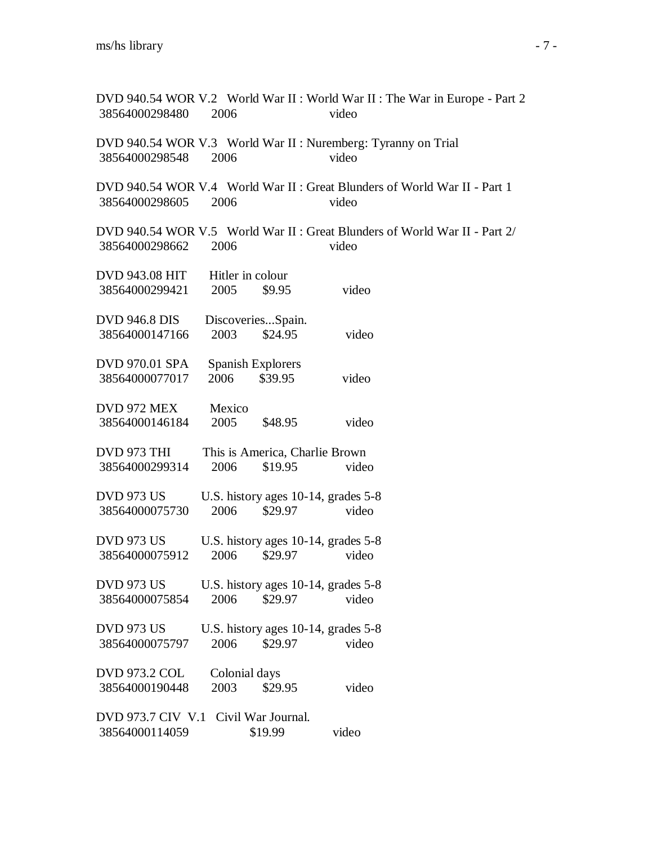DVD 940.54 WOR V.2 World War II : World War II : The War in Europe - Part 2 38564000298480 2006 video DVD 940.54 WOR V.3 World War II : Nuremberg: Tyranny on Trial 38564000298548 2006 video DVD 940.54 WOR V.4 World War II : Great Blunders of World War II - Part 1 38564000298605 2006 video DVD 940.54 WOR V.5 World War II : Great Blunders of World War II - Part 2/ 38564000298662 2006 video DVD 943.08 HIT Hitler in colour 38564000299421 2005 \$9.95 video DVD 946.8 DIS Discoveries...Spain. 38564000147166 2003 \$24.95 video DVD 970.01 SPA Spanish Explorers 38564000077017 2006 \$39.95 video DVD 972 MEX Mexico 38564000146184 2005 \$48.95 video DVD 973 THI This is America, Charlie Brown 38564000299314 2006 \$19.95 video DVD 973 US U.S. history ages 10-14, grades 5-8 38564000075730 2006 \$29.97 video DVD 973 US U.S. history ages  $10-14$ , grades  $5-8$ 38564000075912 2006 \$29.97 video DVD 973 US U.S. history ages  $10-14$ , grades  $5-8$ 38564000075854 2006 \$29.97 video DVD 973 US U.S. history ages  $10-14$ , grades  $5-8$ 38564000075797 2006 \$29.97 video DVD 973.2 COL Colonial days 38564000190448 2003 \$29.95 video DVD 973.7 CIV V.1 Civil War Journal. 38564000114059 \$19.99 video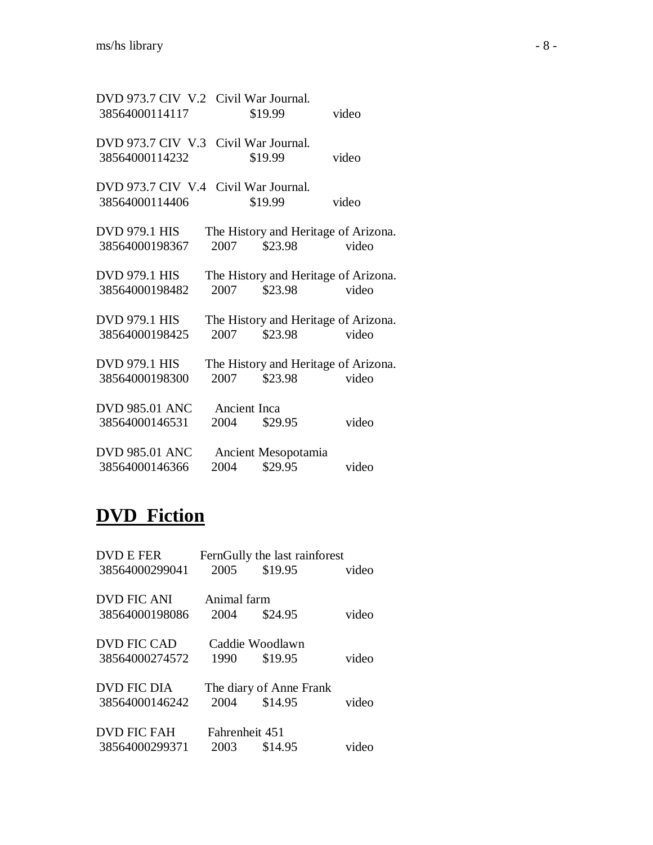| DVD 973.7 CIV V.2 Civil War Journal. |              |                     |                                      |
|--------------------------------------|--------------|---------------------|--------------------------------------|
| 38564000114117                       |              | \$19.99             | video                                |
| DVD 973.7 CIV V.3 Civil War Journal. |              |                     |                                      |
| 38564000114232                       |              | \$19.99             | video                                |
| DVD 973.7 CIV V.4 Civil War Journal. |              |                     |                                      |
| 38564000114406                       |              | \$19.99             | video                                |
| DVD 979.1 HIS                        |              |                     | The History and Heritage of Arizona. |
| 38564000198367                       | 2007         | \$23.98             | video                                |
| <b>DVD 979.1 HIS</b>                 |              |                     | The History and Heritage of Arizona. |
| 38564000198482                       | 2007         | \$23.98             | video                                |
| <b>DVD 979.1 HIS</b>                 |              |                     | The History and Heritage of Arizona. |
| 38564000198425                       | 2007         | \$23.98             | video                                |
| <b>DVD 979.1 HIS</b>                 |              |                     | The History and Heritage of Arizona. |
| 38564000198300                       | 2007         | \$23.98             | video                                |
| <b>DVD 985.01 ANC</b>                | Ancient Inca |                     |                                      |
| 38564000146531                       | 2004         | \$29.95             | video                                |
| <b>DVD 985.01 ANC</b>                |              | Ancient Mesopotamia |                                      |
| 38564000146366                       | 2004         | \$29.95             | video                                |

# **DVD Fiction**

| <b>DVD E FER</b><br>38564000299041 | 2005           | FernGully the last rainforest<br>\$19.95 | video |
|------------------------------------|----------------|------------------------------------------|-------|
| DVD FIC ANI                        | Animal farm    |                                          |       |
| 38564000198086                     | 2004           | \$24.95                                  | video |
|                                    |                |                                          |       |
| DVD FIC CAD                        |                | Caddie Woodlawn                          |       |
| 38564000274572                     | 1990           | \$19.95                                  | video |
| <b>DVD FIC DIA</b>                 |                | The diary of Anne Frank                  |       |
| 38564000146242                     | 2004           | \$14.95                                  | video |
| <b>DVD FIC FAH</b>                 | Fahrenheit 451 |                                          |       |
|                                    |                |                                          |       |
| 38564000299371                     | 2003           | \$14.95                                  | video |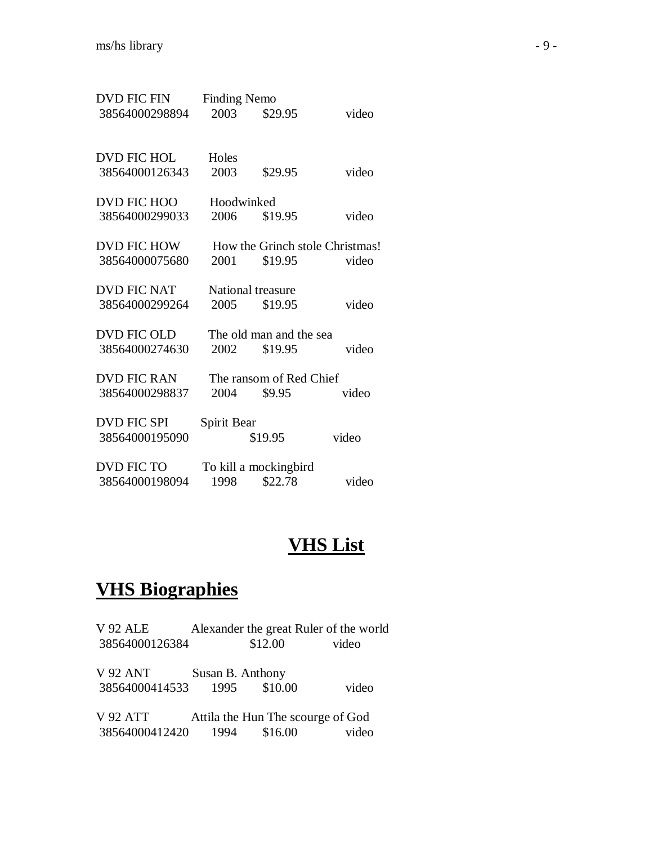| <b>DVD FIC FIN</b> | <b>Finding Nemo</b> |                                 |       |
|--------------------|---------------------|---------------------------------|-------|
| 38564000298894     | 2003                | \$29.95                         | video |
| <b>DVD FIC HOL</b> | Holes               |                                 |       |
| 38564000126343     | 2003                | \$29.95                         | video |
| DVD FIC HOO        | Hoodwinked          |                                 |       |
| 38564000299033     | 2006                | \$19.95                         | video |
| DVD FIC HOW        |                     | How the Grinch stole Christmas! |       |
| 38564000075680     | 2001                | \$19.95                         | video |
| <b>DVD FIC NAT</b> |                     | National treasure               |       |
| 38564000299264     | 2005                | \$19.95                         | video |
| <b>DVD FIC OLD</b> |                     | The old man and the sea         |       |
| 38564000274630     | 2002                | \$19.95                         | video |
| <b>DVD FIC RAN</b> |                     | The ransom of Red Chief         |       |
| 38564000298837     | 2004                | \$9.95                          | video |
| <b>DVD FIC SPI</b> | Spirit Bear         |                                 |       |
| 38564000195090     |                     | \$19.95                         | video |
| <b>DVD FIC TO</b>  |                     | To kill a mockingbird           |       |
| 38564000198094     | 1998                | \$22.78                         | video |

#### **VHS List**

#### **VHS Biographies**

V 92 ALE Alexander the great Ruler of the world 38564000126384 \$12.00 video

V 92 ANT Susan B. Anthony<br>38564000414533 1995 \$10.00 38564000414533 1995 \$10.00 video

V 92 ATT Attila the Hun The scourge of God<br>38564000412420 1994 \$16.00 video 38564000412420 1994 \$16.00 video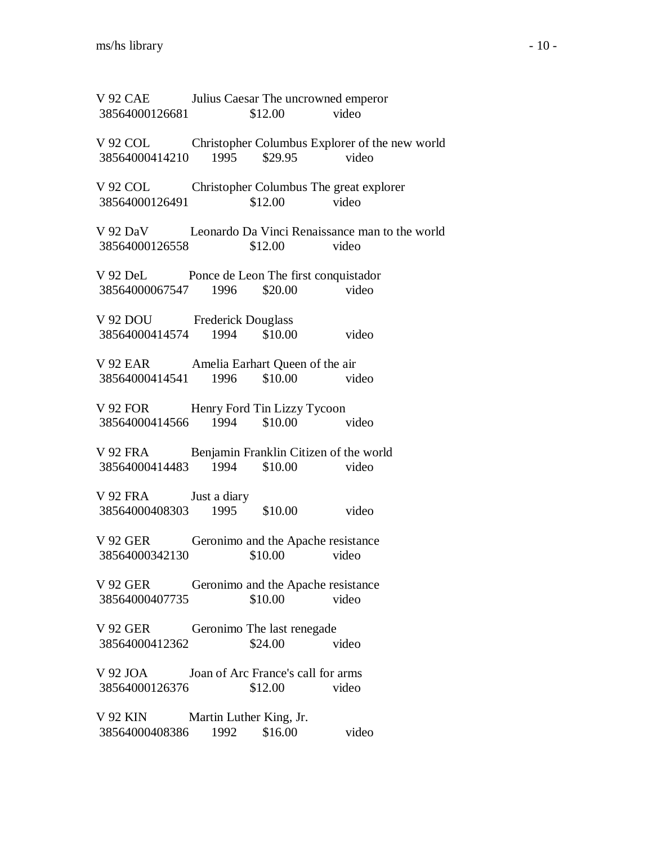V 92 CAE Julius Caesar The uncrowned emperor 38564000126681 \$12.00 video V 92 COL Christopher Columbus Explorer of the new world 38564000414210 1995 \$29.95 video V 92 COL Christopher Columbus The great explorer 38564000126491 \$12.00 video V 92 DaV Leonardo Da Vinci Renaissance man to the world 38564000126558 \$12.00 video V 92 DeL Ponce de Leon The first conquistador 38564000067547 1996 \$20.00 video V 92 DOU Frederick Douglass 38564000414574 1994 \$10.00 video V 92 EAR Amelia Earhart Queen of the air 38564000414541 1996 \$10.00 video V 92 FOR Henry Ford Tin Lizzy Tycoon 38564000414566 1994 \$10.00 video V 92 FRA Benjamin Franklin Citizen of the world 38564000414483 1994 \$10.00 video V 92 FRA Just a diary 38564000408303 1995 \$10.00 video V 92 GER Geronimo and the Apache resistance 38564000342130 \$10.00 video V 92 GER Geronimo and the Apache resistance 38564000407735 \$10.00 video V 92 GER Geronimo The last renegade 38564000412362 \$24.00 video V 92 JOA Joan of Arc France's call for arms 38564000126376 \$12.00 video V 92 KIN Martin Luther King, Jr. 38564000408386 1992 \$16.00 video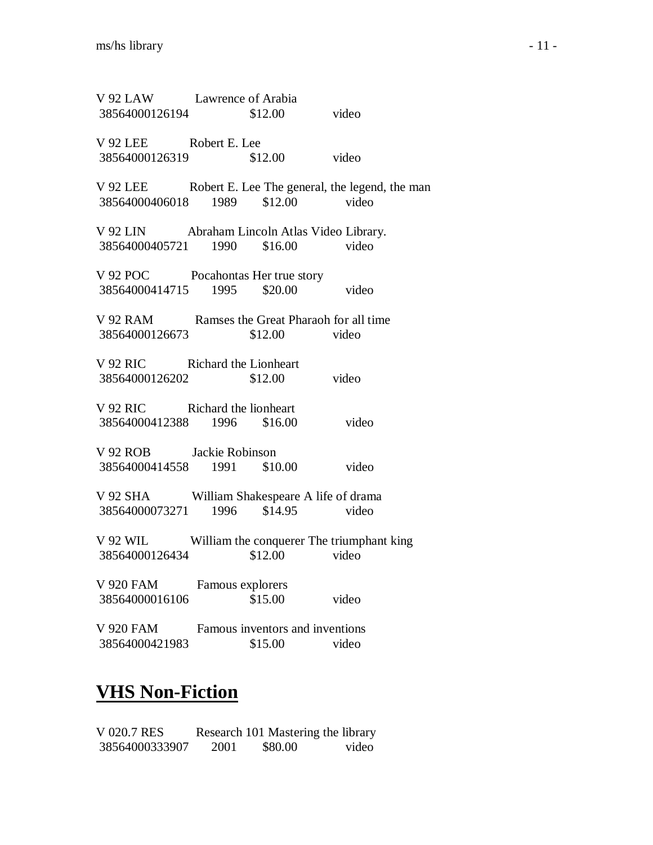| V 92 LAW Lawrence of Arabia<br>38564000126194 \$12.00 video                        |                                            |                                                         |
|------------------------------------------------------------------------------------|--------------------------------------------|---------------------------------------------------------|
| V 92 LEE Robert E. Lee<br>38564000126319 \$12.00 video                             |                                            |                                                         |
| 38564000406018 1989 \$12.00 video                                                  |                                            | V 92 LEE Robert E. Lee The general, the legend, the man |
| V 92 LIN Abraham Lincoln Atlas Video Library.<br>38564000405721 1990 \$16.00 video |                                            |                                                         |
| V 92 POC Pocahontas Her true story<br>38564000414715 1995 \$20.00 video            |                                            |                                                         |
| V 92 RAM Ramses the Great Pharaoh for all time<br>38564000126673 \$12.00 video     |                                            |                                                         |
| V 92 RIC Richard the Lionheart<br>38564000126202 \$12.00 video                     |                                            |                                                         |
| V 92 RIC Richard the lionheart<br>38564000412388 1996 \$16.00 video                |                                            |                                                         |
| V 92 ROB Jackie Robinson<br>38564000414558 1991 \$10.00 video                      |                                            |                                                         |
| V 92 SHA William Shakespeare A life of drama<br>38564000073271 1996 \$14.95 video  |                                            |                                                         |
| V 92 WIL William the conquerer The triumphant king<br>38564000126434 \$12.00 video |                                            |                                                         |
| V 920 FAM<br>38564000016106                                                        | Famous explorers<br>\$15.00                | video                                                   |
| V 920 FAM<br>38564000421983                                                        | Famous inventors and inventions<br>\$15.00 | video                                                   |

# **VHS Non-Fiction**

| V 020.7 RES    |      | Research 101 Mastering the library |       |
|----------------|------|------------------------------------|-------|
| 38564000333907 | 2001 | \$80.00                            | video |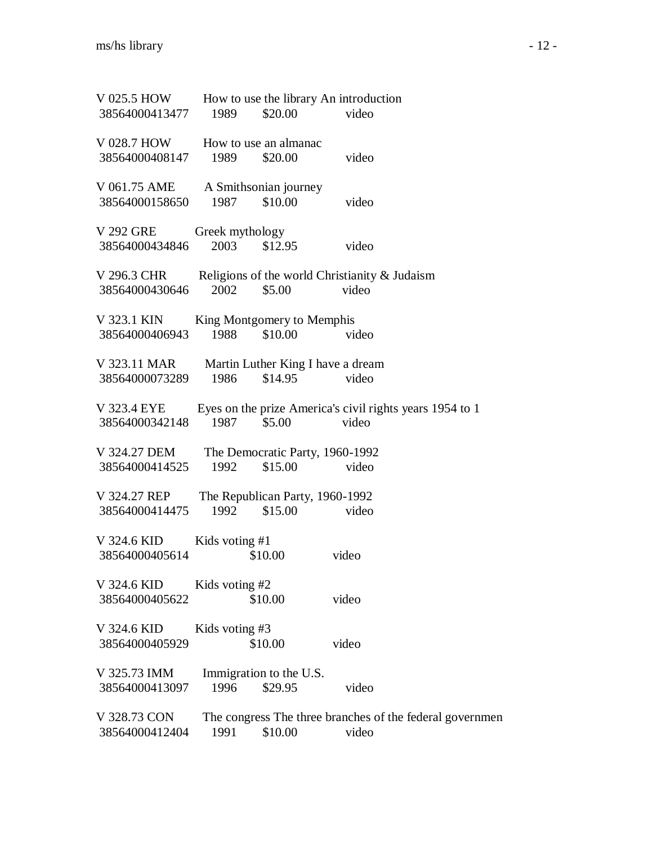| V 025.5 HOW    |                 | How to use the library An introduction           |       |                                                          |
|----------------|-----------------|--------------------------------------------------|-------|----------------------------------------------------------|
| 38564000413477 | 1989            | \$20.00                                          | video |                                                          |
| V 028.7 HOW    |                 | How to use an almanac                            |       |                                                          |
| 38564000408147 | 1989            | \$20.00                                          | video |                                                          |
| V 061.75 AME   |                 | A Smithsonian journey                            |       |                                                          |
| 38564000158650 | 1987            | \$10.00                                          | video |                                                          |
| V 292 GRE      | Greek mythology |                                                  |       |                                                          |
| 38564000434846 | 2003            | \$12.95                                          | video |                                                          |
| V 296.3 CHR    |                 | Religions of the world Christianity $\&$ Judaism |       |                                                          |
| 38564000430646 | 2002            | \$5.00                                           | video |                                                          |
| V 323.1 KIN    |                 | King Montgomery to Memphis                       |       |                                                          |
| 38564000406943 | 1988            | \$10.00                                          | video |                                                          |
| V 323.11 MAR   |                 | Martin Luther King I have a dream                |       |                                                          |
| 38564000073289 | 1986            | \$14.95                                          | video |                                                          |
| V 323.4 EYE    |                 |                                                  |       | Eyes on the prize America's civil rights years 1954 to 1 |
| 38564000342148 | 1987            | \$5.00                                           | video |                                                          |
| V 324.27 DEM   |                 | The Democratic Party, 1960-1992                  |       |                                                          |
| 38564000414525 | 1992            | \$15.00                                          | video |                                                          |
| V 324.27 REP   |                 | The Republican Party, 1960-1992                  |       |                                                          |
| 38564000414475 | 1992            | \$15.00                                          | video |                                                          |
| V 324.6 KID    | Kids voting #1  |                                                  |       |                                                          |
| 38564000405614 |                 | \$10.00                                          | video |                                                          |
| V 324.6 KID    | Kids voting #2  |                                                  |       |                                                          |
| 38564000405622 |                 | \$10.00                                          | video |                                                          |
| V 324.6 KID    | Kids voting #3  |                                                  |       |                                                          |
| 38564000405929 |                 | \$10.00                                          | video |                                                          |
| V 325.73 IMM   |                 | Immigration to the U.S.                          |       |                                                          |
| 38564000413097 | 1996            | \$29.95                                          | video |                                                          |
| V 328.73 CON   |                 |                                                  |       | The congress The three branches of the federal governmen |
| 38564000412404 | 1991            | \$10.00                                          | video |                                                          |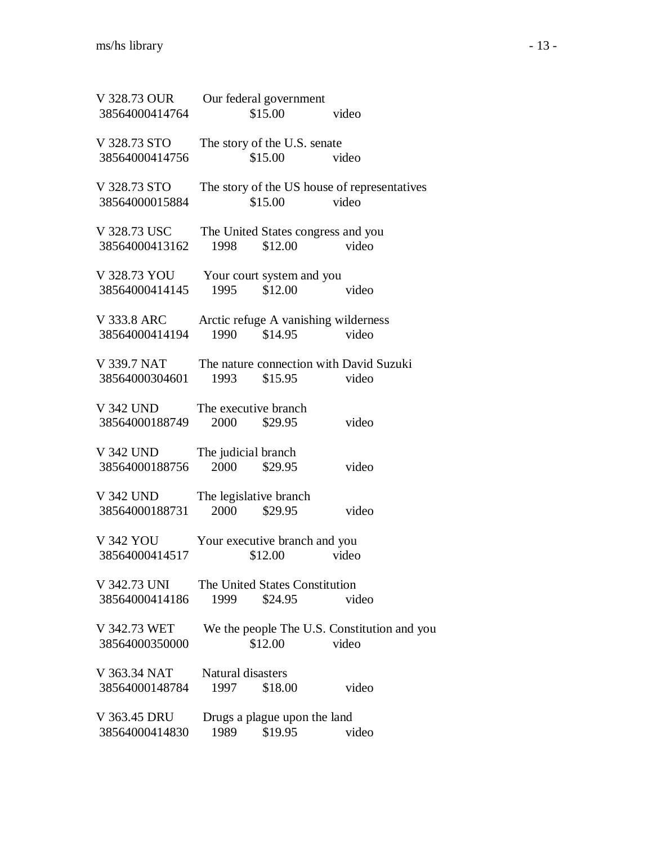| V 328.73 OUR<br>38564000414764 |                           | Our federal government<br>\$15.00         | video                                                 |  |
|--------------------------------|---------------------------|-------------------------------------------|-------------------------------------------------------|--|
| V 328.73 STO<br>38564000414756 |                           | The story of the U.S. senate<br>\$15.00   | video                                                 |  |
| V 328.73 STO<br>38564000015884 |                           | \$15.00                                   | The story of the US house of representatives<br>video |  |
| V 328.73 USC<br>38564000413162 | 1998                      | \$12.00                                   | The United States congress and you<br>video           |  |
| V 328.73 YOU<br>38564000414145 | 1995                      | Your court system and you<br>\$12.00      | video                                                 |  |
| V 333.8 ARC<br>38564000414194  | 1990                      | \$14.95                                   | Arctic refuge A vanishing wilderness<br>video         |  |
| V 339.7 NAT<br>38564000304601  | 1993                      | \$15.95                                   | The nature connection with David Suzuki<br>video      |  |
| V 342 UND<br>38564000188749    | 2000                      | The executive branch<br>\$29.95           | video                                                 |  |
| V 342 UND<br>38564000188756    | 2000                      | The judicial branch<br>\$29.95            | video                                                 |  |
| V 342 UND<br>38564000188731    | 2000                      | The legislative branch<br>\$29.95         | video                                                 |  |
| V 342 YOU<br>38564000414517    |                           | Your executive branch and you<br>\$12.00  | video                                                 |  |
| V 342.73 UNI<br>38564000414186 | 1999                      | The United States Constitution<br>\$24.95 | video                                                 |  |
| V 342.73 WET<br>38564000350000 |                           | \$12.00                                   | We the people The U.S. Constitution and you<br>video  |  |
| V 363.34 NAT<br>38564000148784 | Natural disasters<br>1997 | \$18.00                                   | video                                                 |  |
| V 363.45 DRU<br>38564000414830 | 1989                      | Drugs a plague upon the land<br>\$19.95   | video                                                 |  |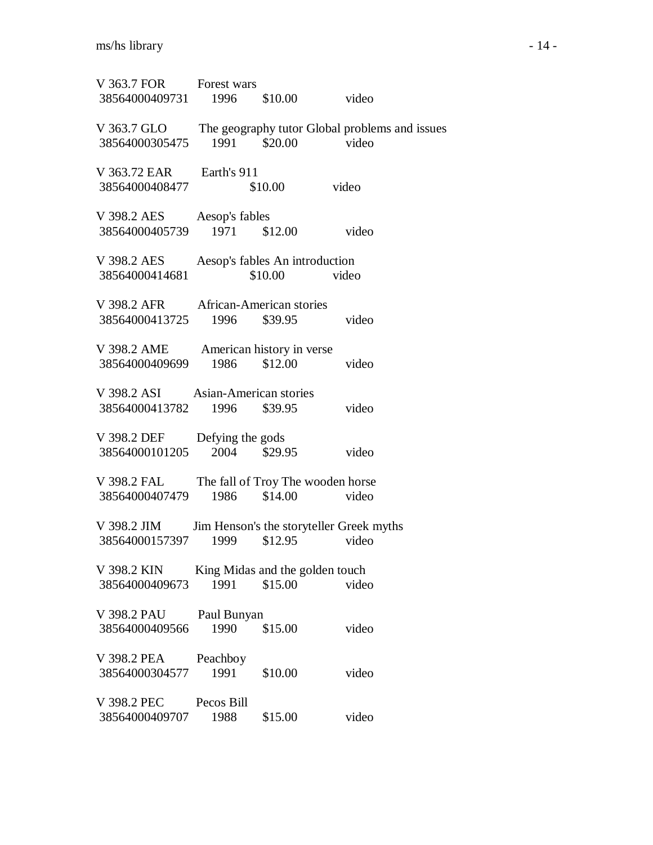| V 363.7 FOR Forest wars<br>38564000409731 1996 \$10.00 video                |                                         |                                                  |                                                            |  |
|-----------------------------------------------------------------------------|-----------------------------------------|--------------------------------------------------|------------------------------------------------------------|--|
| 38564000305475 1991 \$20.00 video                                           |                                         |                                                  | V 363.7 GLO The geography tutor Global problems and issues |  |
| V 363.72 EAR Earth's 911<br>38564000408477                                  |                                         | \$10.00                                          | video                                                      |  |
| V 398.2 AES Aesop's fables<br>38564000405739 1971                           |                                         | \$12.00                                          | video                                                      |  |
| V 398.2 AES<br>38564000414681                                               |                                         | Aesop's fables An introduction<br>$$10.00$ video |                                                            |  |
| V 398.2 AFR African-American stories<br>38564000413725 1996 \$39.95         |                                         |                                                  | video                                                      |  |
| V 398.2 AME American history in verse<br>38564000409699 1986 \$12.00        |                                         |                                                  | video                                                      |  |
| V 398.2 ASI Asian-American stories<br>38564000413782 1996 \$39.95           |                                         |                                                  | video                                                      |  |
| V 398.2 DEF Defying the gods<br>38564000101205 2004 \$29.95                 |                                         |                                                  | video                                                      |  |
| V 398.2 FAL The fall of Troy The wooden horse<br>38564000407479 1986        |                                         |                                                  | $$14.00$ video                                             |  |
| V 398.2 JIM Jim Henson's the storyteller Greek myths<br>38564000157397 1999 |                                         |                                                  | $$12.95$ video                                             |  |
| V 398.2 KIN<br>38564000409673                                               | King Midas and the golden touch<br>1991 | \$15.00                                          | video                                                      |  |
| V 398.2 PAU<br>38564000409566                                               | Paul Bunyan<br>1990                     | \$15.00                                          | video                                                      |  |
| V 398.2 PEA<br>38564000304577                                               | Peachboy<br>1991                        | \$10.00                                          | video                                                      |  |
| V 398.2 PEC<br>38564000409707                                               | Pecos Bill<br>1988                      | \$15.00                                          | video                                                      |  |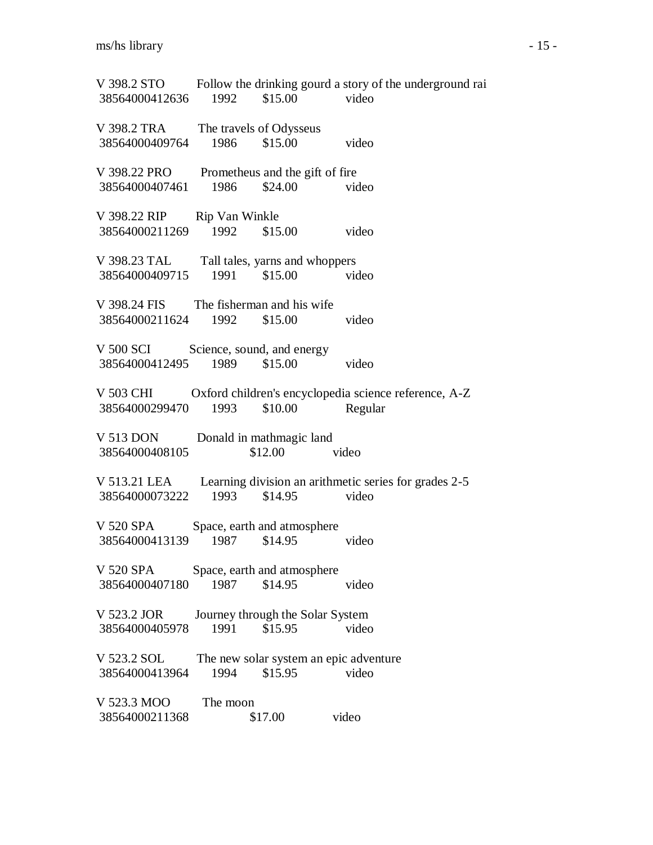V 398.2 STO Follow the drinking gourd a story of the underground rai 38564000412636 1992 \$15.00 video V 398.2 TRA The travels of Odysseus 38564000409764 1986 \$15.00 video V 398.22 PRO Prometheus and the gift of fire 38564000407461 1986 \$24.00 video V 398.22 RIP Rip Van Winkle 38564000211269 1992 \$15.00 video V 398.23 TAL Tall tales, yarns and whoppers 38564000409715 1991 \$15.00 video V 398.24 FIS The fisherman and his wife 38564000211624 1992 \$15.00 video V 500 SCI Science, sound, and energy 38564000412495 1989 \$15.00 video V 503 CHI Oxford children's encyclopedia science reference, A-Z 38564000299470 1993 \$10.00 Regular V 513 DON Donald in mathmagic land 38564000408105 \$12.00 video V 513.21 LEA Learning division an arithmetic series for grades 2-5 38564000073222 1993 \$14.95 video V 520 SPA Space, earth and atmosphere 38564000413139 1987 \$14.95 video V 520 SPA Space, earth and atmosphere 38564000407180 1987 \$14.95 video V 523.2 JOR Journey through the Solar System 38564000405978 1991 \$15.95 video V 523.2 SOL The new solar system an epic adventure 38564000413964 1994 \$15.95 video V 523.3 MOO The moon 38564000211368 \$17.00 video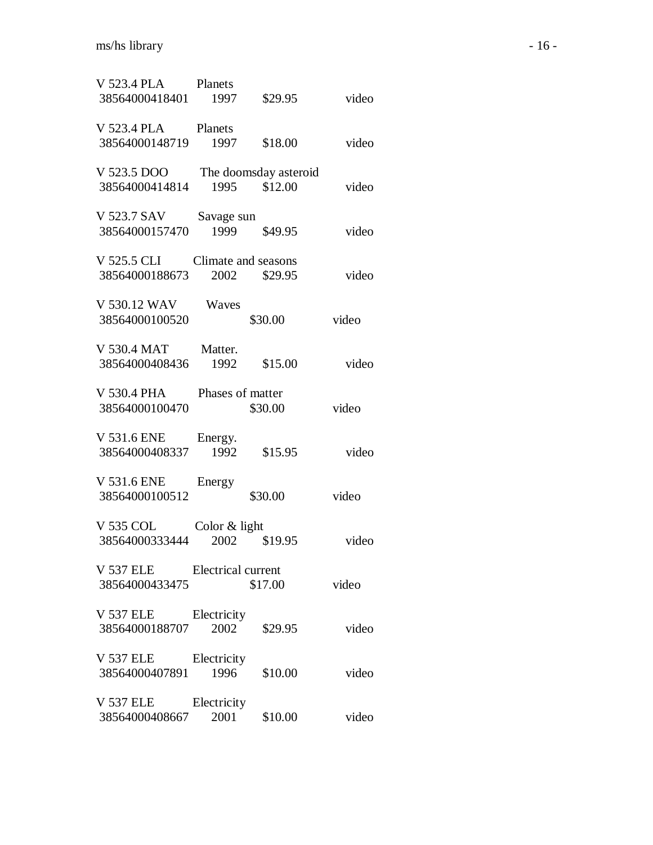| V 523.4 PLA Planets<br>38564000418401 1997          |                             | \$29.95 | video |
|-----------------------------------------------------|-----------------------------|---------|-------|
| V 523.4 PLA<br>38564000148719                       | Planets<br>1997             | \$18.00 | video |
| V 523.5 DOO The doomsday asteroid<br>38564000414814 | 1995                        | \$12.00 | video |
| V 523.7 SAV<br>38564000157470                       | Savage sun<br>1999          | \$49.95 | video |
| V 525.5 CLI<br>38564000188673                       | Climate and seasons<br>2002 | \$29.95 | video |
| V 530.12 WAV<br>38564000100520                      | Waves                       | \$30.00 | video |
| V 530.4 MAT<br>38564000408436                       | Matter.<br>1992             | \$15.00 | video |
| V 530.4 PHA<br>38564000100470                       | Phases of matter            | \$30.00 | video |
| V 531.6 ENE<br>38564000408337                       | Energy.<br>1992             | \$15.95 | video |
| V 531.6 ENE<br>38564000100512                       | Energy                      | \$30.00 | video |
| V 535 COL<br>38564000333444                         | Color $&$ light<br>2002     | \$19.95 | video |
| V 537 ELE Electrical current<br>38564000433475      |                             | \$17.00 | video |
| V 537 ELE<br>38564000188707                         | Electricity<br>2002         | \$29.95 | video |
| <b>V 537 ELE</b><br>38564000407891                  | Electricity<br>1996         | \$10.00 | video |
| V 537 ELE<br>38564000408667                         | Electricity<br>2001         | \$10.00 | video |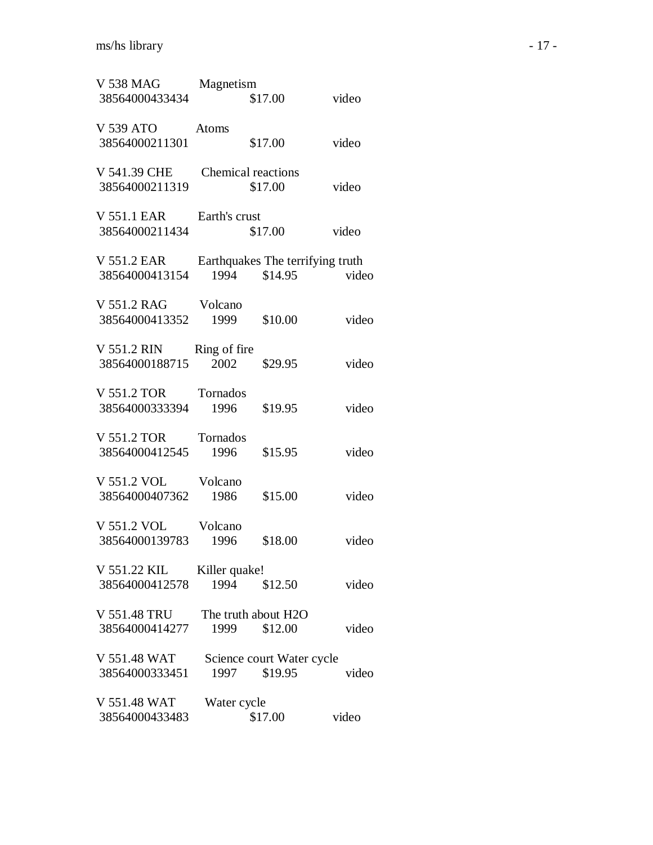| V 538 MAG<br>38564000433434    | Magnetism             | \$17.00                                     | video |
|--------------------------------|-----------------------|---------------------------------------------|-------|
| V 539 ATO<br>38564000211301    | Atoms                 | \$17.00                                     | video |
| V 541.39 CHE<br>38564000211319 | Chemical reactions    | \$17.00                                     | video |
| V 551.1 EAR<br>38564000211434  | Earth's crust         | \$17.00                                     | video |
| V 551.2 EAR<br>38564000413154  | 1994                  | Earthquakes The terrifying truth<br>\$14.95 | video |
| V 551.2 RAG<br>38564000413352  | Volcano<br>1999       | \$10.00                                     | video |
| V 551.2 RIN<br>38564000188715  | Ring of fire<br>2002  | \$29.95                                     | video |
| V 551.2 TOR<br>38564000333394  | Tornados<br>1996      | \$19.95                                     | video |
| V 551.2 TOR<br>38564000412545  | Tornados<br>1996      | \$15.95                                     | video |
| V 551.2 VOL<br>38564000407362  | Volcano<br>1986       | \$15.00                                     | video |
| V 551.2 VOL<br>38564000139783  | Volcano<br>1996       | \$18.00                                     | video |
| V 551.22 KIL<br>38564000412578 | Killer quake!<br>1994 | \$12.50                                     | video |
| V 551.48 TRU<br>38564000414277 | 1999                  | The truth about H2O<br>\$12.00              | video |
| V 551.48 WAT<br>38564000333451 | 1997                  | Science court Water cycle<br>\$19.95        | video |
| V 551.48 WAT<br>38564000433483 | Water cycle           | \$17.00                                     | video |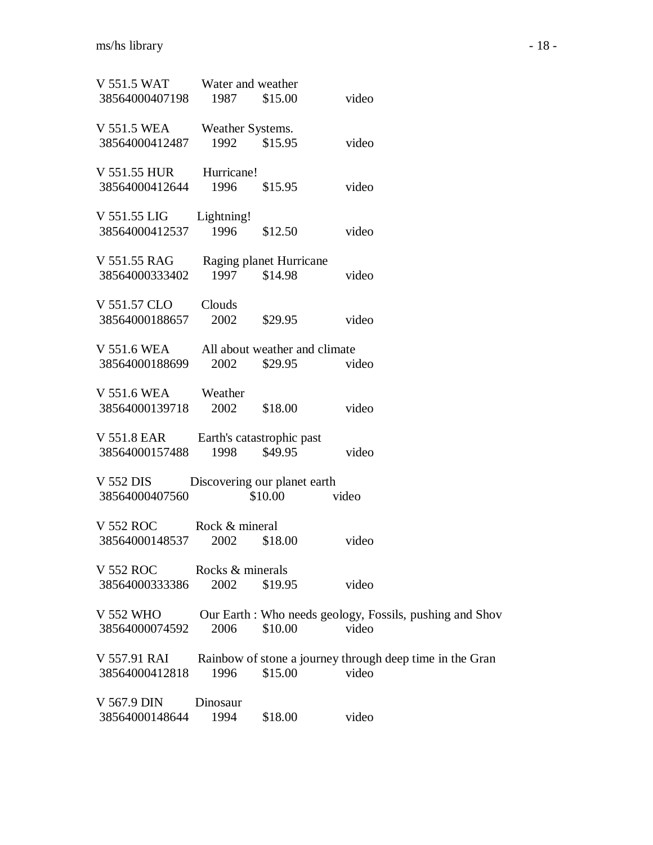| V 551.5 WAT      | Water and weather |                               |                                                          |
|------------------|-------------------|-------------------------------|----------------------------------------------------------|
| 38564000407198   | 1987              | \$15.00                       | video                                                    |
| V 551.5 WEA      | Weather Systems.  |                               |                                                          |
| 38564000412487   | 1992              | \$15.95                       | video                                                    |
| V 551.55 HUR     | Hurricane!        |                               |                                                          |
| 38564000412644   | 1996              | \$15.95                       | video                                                    |
| V 551.55 LIG     | Lightning!        |                               |                                                          |
| 38564000412537   | 1996              | \$12.50                       | video                                                    |
| V 551.55 RAG     |                   | Raging planet Hurricane       |                                                          |
| 38564000333402   | 1997              | \$14.98                       | video                                                    |
| V 551.57 CLO     | Clouds            |                               |                                                          |
| 38564000188657   | 2002              | \$29.95                       | video                                                    |
| V 551.6 WEA      |                   | All about weather and climate |                                                          |
| 38564000188699   | 2002              | \$29.95                       | video                                                    |
| V 551.6 WEA      | Weather           |                               |                                                          |
| 38564000139718   | 2002              | \$18.00                       | video                                                    |
| V 551.8 EAR      |                   | Earth's catastrophic past     |                                                          |
| 38564000157488   | 1998              | \$49.95                       | video                                                    |
| V 552 DIS        |                   | Discovering our planet earth  |                                                          |
| 38564000407560   |                   | \$10.00                       | video                                                    |
| V 552 ROC        | Rock & mineral    |                               |                                                          |
| 38564000148537   | 2002              | \$18.00                       | video                                                    |
| <b>V 552 ROC</b> | Rocks & minerals  |                               |                                                          |
| 38564000333386   | 2002              | \$19.95                       | video                                                    |
| <b>V 552 WHO</b> |                   |                               | Our Earth: Who needs geology, Fossils, pushing and Shov  |
| 38564000074592   | 2006              | \$10.00                       | video                                                    |
| V 557.91 RAI     |                   |                               | Rainbow of stone a journey through deep time in the Gran |
| 38564000412818   | 1996              | \$15.00                       | video                                                    |
| V 567.9 DIN      | Dinosaur          |                               |                                                          |
| 38564000148644   | 1994              | \$18.00                       | video                                                    |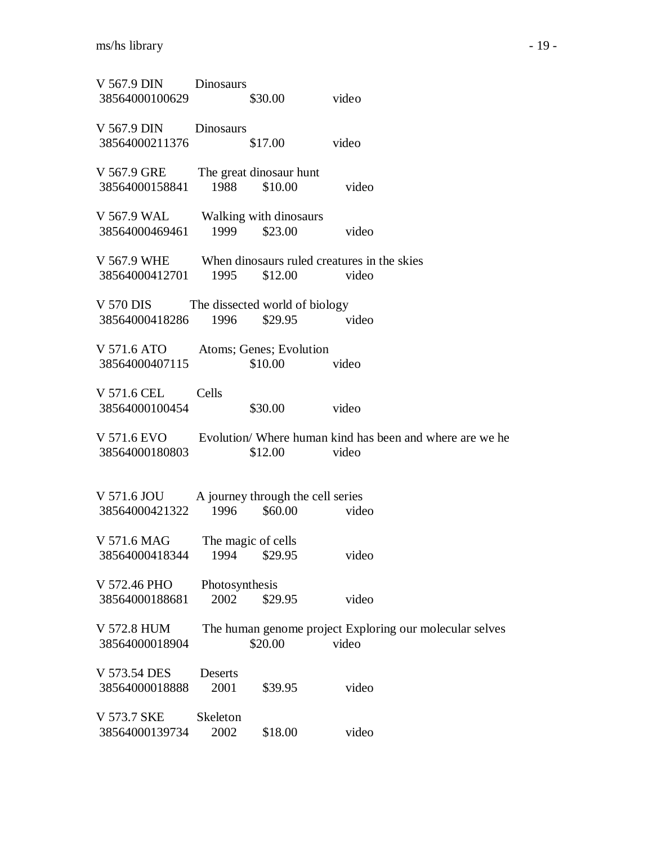| V 567.9 DIN Dinosaurs<br>38564000100629                                        |                        | $$30.00$ video |       |                                                                      |
|--------------------------------------------------------------------------------|------------------------|----------------|-------|----------------------------------------------------------------------|
| V 567.9 DIN Dinosaurs<br>38564000211376                                        |                        | \$17.00        | video |                                                                      |
| V 567.9 GRE The great dinosaur hunt<br>38564000158841 1988 \$10.00             |                        |                | video |                                                                      |
| V 567.9 WAL Walking with dinosaurs<br>38564000469461 1999 \$23.00              |                        |                | video |                                                                      |
| V 567.9 WHE When dinosaurs ruled creatures in the skies<br>38564000412701 1995 |                        | $$12.00$ video |       |                                                                      |
| V 570 DIS The dissected world of biology<br>38564000418286 1996 \$29.95        |                        |                | video |                                                                      |
| V 571.6 ATO Atoms; Genes; Evolution<br>38564000407115                          |                        | \$10.00        | video |                                                                      |
| V 571.6 CEL<br>38564000100454                                                  | Cells                  | \$30.00        | video |                                                                      |
| 38564000180803                                                                 |                        | $$12.00$ video |       | V 571.6 EVO Evolution/ Where human kind has been and where are we he |
| V 571.6 JOU A journey through the cell series<br>38564000421322 1996 \$60.00   |                        |                | video |                                                                      |
| V 571.6 MAG The magic of cells<br>38564000418344 1994 \$29.95                  |                        |                | video |                                                                      |
| V 572.46 PHO<br>38564000188681                                                 | Photosynthesis<br>2002 | \$29.95        | video |                                                                      |
| V 572.8 HUM<br>38564000018904                                                  |                        | \$20.00        | video | The human genome project Exploring our molecular selves              |
| V 573.54 DES<br>38564000018888                                                 | Deserts<br>2001        | \$39.95        | video |                                                                      |
| V 573.7 SKE<br>38564000139734                                                  | Skeleton<br>2002       | \$18.00        | video |                                                                      |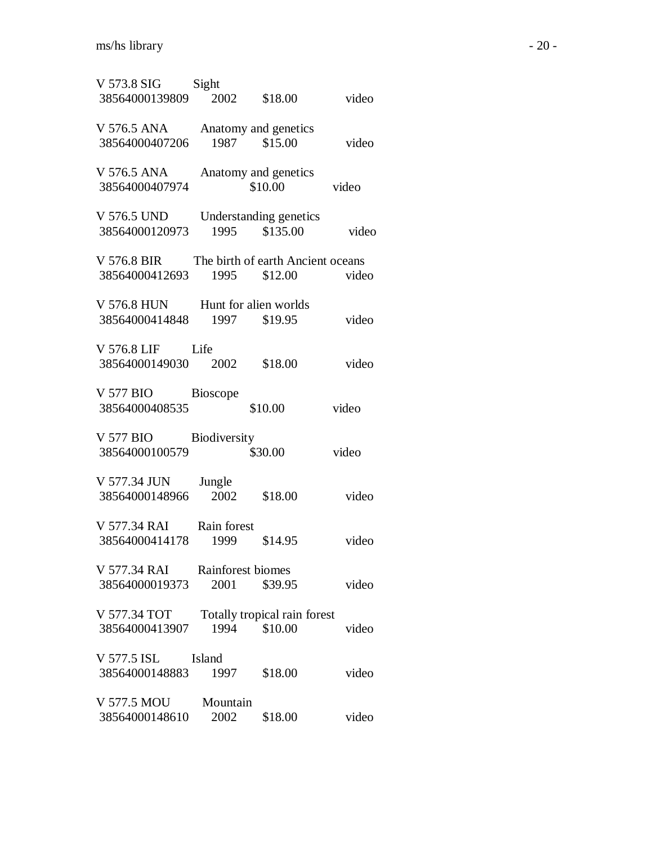| V 573.8 SIG<br>38564000139809  | Sight<br>2002             | \$18.00                                      | video |
|--------------------------------|---------------------------|----------------------------------------------|-------|
| V 576.5 ANA<br>38564000407206  |                           | Anatomy and genetics<br>1987 \$15.00         | video |
| V 576.5 ANA<br>38564000407974  |                           | Anatomy and genetics<br>\$10.00              | video |
| V 576.5 UND<br>38564000120973  | 1995                      | Understanding genetics<br>\$135.00           | video |
| V 576.8 BIR<br>38564000412693  | 1995                      | The birth of earth Ancient oceans<br>\$12.00 | video |
| V 576.8 HUN<br>38564000414848  | 1997                      | Hunt for alien worlds<br>\$19.95             | video |
| V 576.8 LIF<br>38564000149030  | Life<br>2002              | \$18.00                                      | video |
| V 577 BIO<br>38564000408535    | Bioscope                  | \$10.00                                      | video |
| V 577 BIO<br>38564000100579    | Biodiversity              | \$30.00                                      | video |
| V 577.34 JUN<br>38564000148966 | Jungle<br>2002            | \$18.00                                      | video |
| V 577.34 RAI<br>38564000414178 | Rain forest<br>1999       | \$14.95                                      | video |
| V 577.34 RAI<br>38564000019373 | Rainforest biomes<br>2001 | \$39.95                                      | video |
| V 577.34 TOT<br>38564000413907 | 1994                      | Totally tropical rain forest<br>\$10.00      | video |
| V 577.5 ISL<br>38564000148883  | Island<br>1997            | \$18.00                                      | video |
| V 577.5 MOU<br>38564000148610  | Mountain<br>2002          | \$18.00                                      | video |
|                                |                           |                                              |       |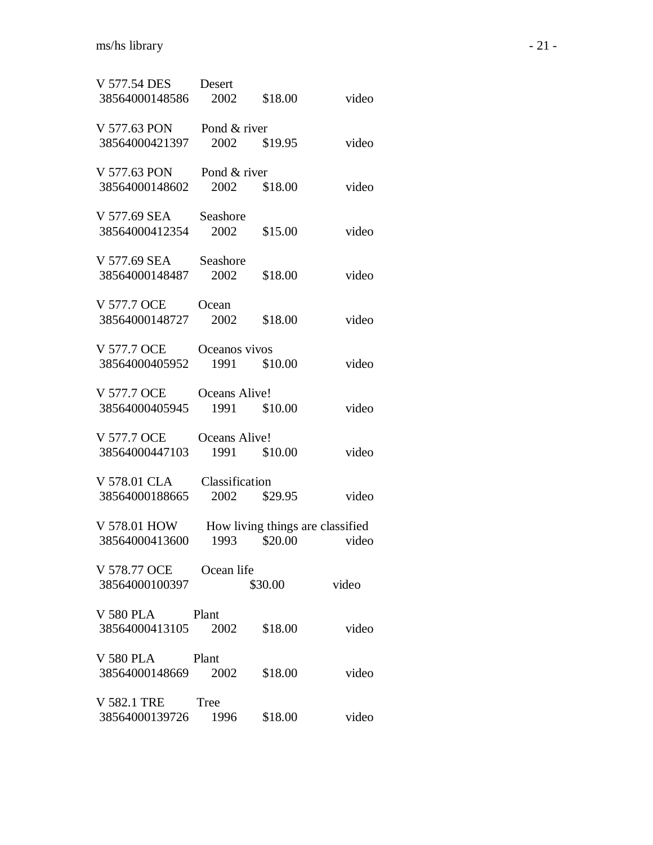| V 577.54 DES Desert<br>38564000148586 2002      |                  | \$18.00                                          | video |
|-------------------------------------------------|------------------|--------------------------------------------------|-------|
| V 577.63 PON<br>38564000421397                  | Pond & river     | 2002 \$19.95                                     | video |
| V 577.63 PON<br>38564000148602                  | Pond & river     | 2002 \$18.00                                     | video |
| V 577.69 SEA<br>38564000412354                  | Seashore<br>2002 | \$15.00                                          | video |
| V 577.69 SEA<br>38564000148487                  | Seashore<br>2002 | \$18.00                                          | video |
| V 577.7 OCE<br>38564000148727                   | Ocean<br>2002    | \$18.00                                          | video |
| V 577.7 OCE<br>38564000405952                   | Oceanos vivos    | 1991 \$10.00                                     | video |
| V 577.7 OCE<br>38564000405945                   | Oceans Alive!    | 1991 \$10.00                                     | video |
| V 577.7 OCE<br>38564000447103                   | Oceans Alive!    | 1991 \$10.00                                     | video |
| V 578.01 CLA<br>38564000188665                  | Classification   | 2002 \$29.95                                     | video |
| V 578.01 HOW<br>38564000413600                  |                  | How living things are classified<br>1993 \$20.00 | video |
| V 578.77 OCE Ocean life<br>38564000100397       |                  | \$30.00 video                                    |       |
| V 580 PLA Plant<br>38564000413105 2002 \$18.00  |                  |                                                  | video |
| V 580 PLA Plant<br>38564000148669 2002 \$18.00  |                  |                                                  | video |
| V 582.1 TRE Tree<br>38564000139726 1996 \$18.00 |                  |                                                  | video |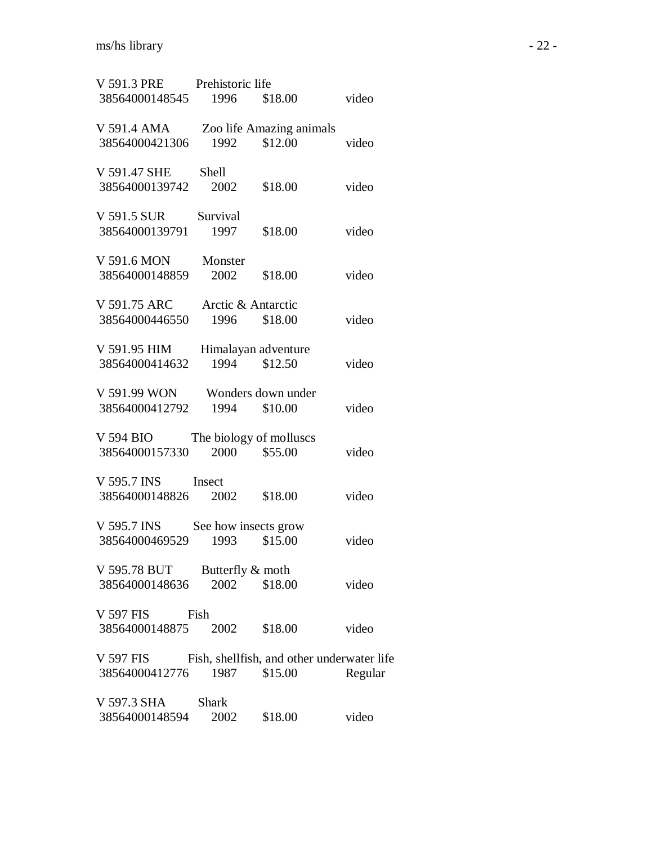| V 591.3 PRE Prehistoric life                         |                         |                          |         |
|------------------------------------------------------|-------------------------|--------------------------|---------|
| 38564000148545 1996 \$18.00                          |                         |                          | video   |
| V 591.4 AMA                                          |                         | Zoo life Amazing animals |         |
| 38564000421306                                       |                         | 1992 \$12.00             | video   |
| V 591.47 SHE Shell                                   |                         |                          |         |
| 38564000139742 2002 \$18.00                          |                         |                          | video   |
| V 591.5 SUR Survival                                 |                         |                          |         |
| 38564000139791 1997                                  |                         | \$18.00                  | video   |
| V 591.6 MON                                          | Monster                 |                          |         |
| 38564000148859                                       | 2002                    | \$18.00                  | video   |
| V 591.75 ARC                                         | Arctic & Antarctic      |                          |         |
| 38564000446550 1996 \$18.00                          |                         |                          | video   |
| V 591.95 HIM                                         |                         | Himalayan adventure      |         |
| 38564000414632                                       |                         | 1994 \$12.50             | video   |
| V 591.99 WON                                         |                         | Wonders down under       |         |
| 38564000412792                                       |                         | 1994 \$10.00             | video   |
| V 594 BIO                                            | The biology of molluscs |                          |         |
| 38564000157330 2000 \$55.00                          |                         |                          | video   |
| V 595.7 INS Insect                                   |                         |                          |         |
| 38564000148826 2002                                  |                         | \$18.00                  | video   |
| V 595.7 INS See how insects grow                     |                         |                          |         |
| 38564000469529                                       |                         | 1993 \$15.00             | video   |
| V 595.78 BUT                                         | Butterfly & moth        |                          |         |
| 38564000148636                                       | 2002                    | \$18.00                  | video   |
| V 597 FIS                                            | Fish                    |                          |         |
| 38564000148875 2002 \$18.00                          |                         |                          | video   |
| V 597 FIS Fish, shellfish, and other underwater life |                         |                          |         |
| 38564000412776                                       | 1987                    | \$15.00                  | Regular |
| V 597.3 SHA                                          | <b>Shark</b>            |                          |         |
| 38564000148594                                       | 2002                    | \$18.00                  | video   |
|                                                      |                         |                          |         |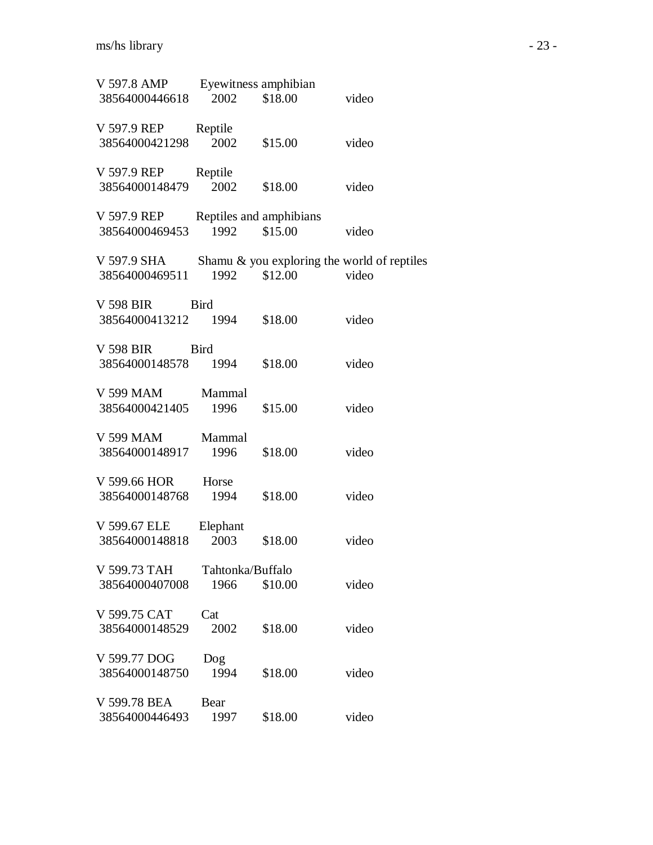| V 597.8 AMP<br>38564000446618      | 2002                     | Eyewitness amphibian<br>\$18.00    | video                                                |
|------------------------------------|--------------------------|------------------------------------|------------------------------------------------------|
| V 597.9 REP<br>38564000421298      | Reptile<br>2002          | \$15.00                            | video                                                |
| V 597.9 REP<br>38564000148479      | Reptile<br>2002          | \$18.00                            | video                                                |
| V 597.9 REP<br>38564000469453      | 1992                     | Reptiles and amphibians<br>\$15.00 | video                                                |
| V 597.9 SHA<br>38564000469511      | 1992                     | \$12.00                            | Shamu & you exploring the world of reptiles<br>video |
| V 598 BIR<br>38564000413212 1994   | <b>Bird</b>              | \$18.00                            | video                                                |
| V 598 BIR<br>38564000148578        | <b>Bird</b><br>1994      | \$18.00                            | video                                                |
| V 599 MAM Mammal<br>38564000421405 | 1996                     | \$15.00                            | video                                                |
| V 599 MAM Mammal<br>38564000148917 | 1996                     | \$18.00                            | video                                                |
| V 599.66 HOR<br>38564000148768     | Horse<br>1994            | \$18.00                            | video                                                |
| V 599.67 ELE<br>38564000148818     | Elephant<br>2003         | \$18.00                            | video                                                |
| V 599.73 TAH<br>38564000407008     | Tahtonka/Buffalo<br>1966 | \$10.00                            | video                                                |
| V 599.75 CAT<br>38564000148529     | Cat<br>2002              | \$18.00                            | video                                                |
| V 599.77 DOG<br>38564000148750     | Dog<br>1994              | \$18.00                            | video                                                |
| V 599.78 BEA<br>38564000446493     | Bear<br>1997             | \$18.00                            | video                                                |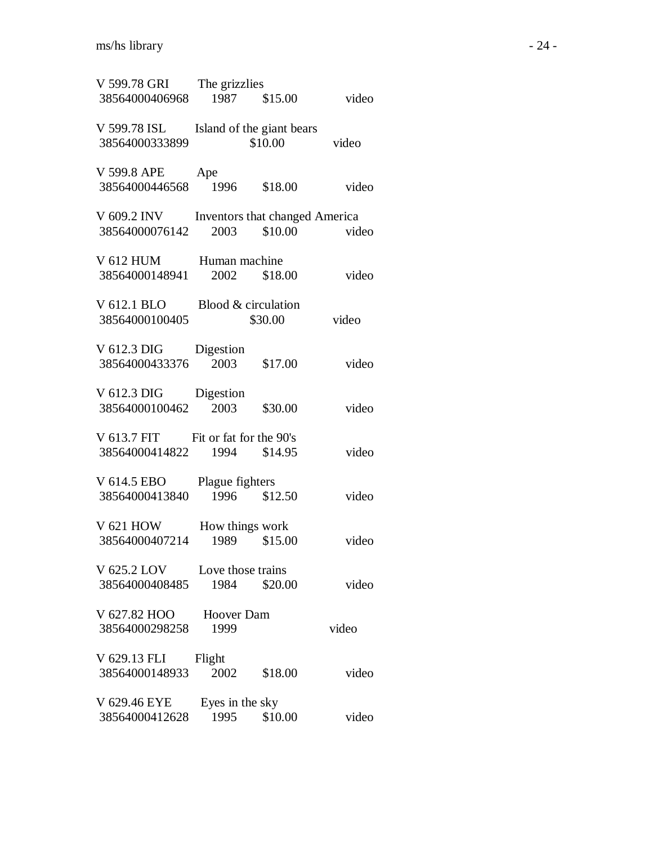| V 599.78 GRI The grizzlies<br>38564000406968 | 1987              | \$15.00                              | video |
|----------------------------------------------|-------------------|--------------------------------------|-------|
|                                              |                   |                                      |       |
| V 599.78 ISL<br>38564000333899               |                   | Island of the giant bears<br>\$10.00 | video |
| V 599.8 APE                                  | Ape               |                                      |       |
| 38564000446568 1996                          |                   | \$18.00                              | video |
| V 609.2 INV Inventors that changed America   |                   |                                      |       |
| 38564000076142                               | 2003              | \$10.00                              | video |
| V 612 HUM Human machine                      |                   |                                      |       |
| 38564000148941                               | 2002              | \$18.00                              | video |
| V 612.1 BLO                                  |                   | Blood & circulation                  |       |
| 38564000100405                               |                   | \$30.00                              | video |
| V 612.3 DIG                                  | Digestion         |                                      |       |
| 38564000433376                               | 2003              | \$17.00                              | video |
| V 612.3 DIG                                  | Digestion         |                                      |       |
| 38564000100462                               | 2003              | \$30.00                              | video |
| V 613.7 FIT Fit or fat for the 90's          |                   |                                      |       |
| 38564000414822                               |                   | 1994 \$14.95                         | video |
| V 614.5 EBO                                  | Plague fighters   |                                      |       |
| 38564000413840                               |                   | 1996 \$12.50                         | video |
| V 621 HOW                                    |                   | How things work                      |       |
| 38564000407214                               | 1989              | \$15.00                              | video |
| V 625.2 LOV                                  | Love those trains |                                      |       |
| 38564000408485                               | 1984              | \$20.00                              | video |
| V 627.82 HOO                                 | <b>Hoover Dam</b> |                                      |       |
| 38564000298258                               | 1999              |                                      | video |
| V 629.13 FLI                                 | Flight            |                                      |       |
| 38564000148933                               | 2002              | \$18.00                              | video |
| V 629.46 EYE                                 | Eyes in the sky   |                                      |       |
| 38564000412628                               | 1995              | \$10.00                              | video |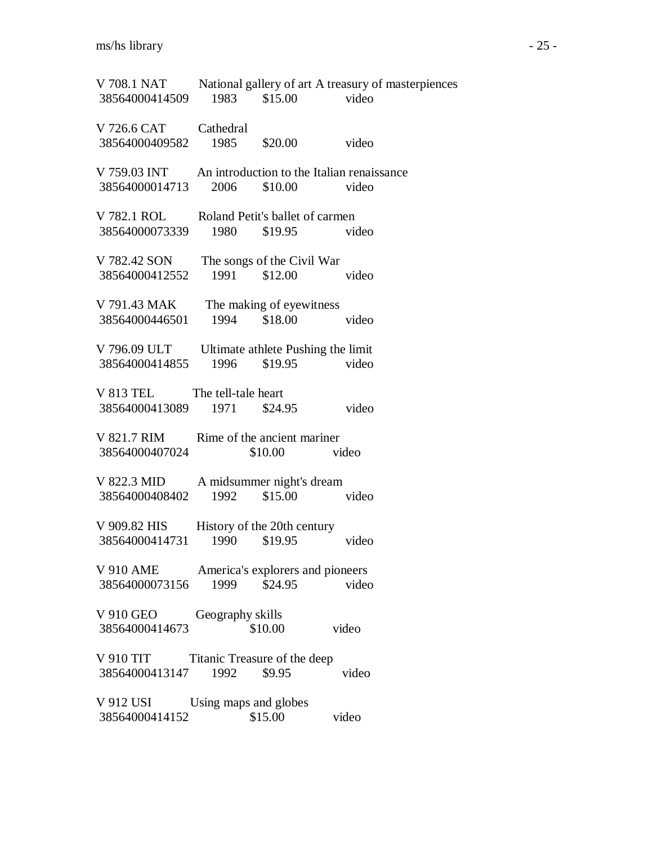| 38564000414509                                                            | 1983 \$15.00          |                                               | V 708.1 NAT National gallery of art A treasury of masterpiences<br>video |
|---------------------------------------------------------------------------|-----------------------|-----------------------------------------------|--------------------------------------------------------------------------|
| V 726.6 CAT<br>38564000409582 1985                                        | Cathedral             | \$20.00                                       | video                                                                    |
| V 759.03 INT An introduction to the Italian renaissance<br>38564000014713 | 2006                  | \$10.00                                       | video                                                                    |
| V 782.1 ROL Roland Petit's ballet of carmen<br>38564000073339             | 1980                  | \$19.95                                       | video                                                                    |
| V 782.42 SON<br>38564000412552                                            |                       | The songs of the Civil War<br>1991 \$12.00    | video                                                                    |
| V 791.43 MAK<br>38564000446501                                            |                       | The making of eyewitness<br>1994 \$18.00      | video                                                                    |
| V 796.09 ULT Ultimate athlete Pushing the limit<br>38564000414855         |                       | 1996 \$19.95 video                            |                                                                          |
| V 813 TEL The tell-tale heart<br>38564000413089                           | 1971                  | \$24.95                                       | video                                                                    |
| V 821.7 RIM<br>38564000407024                                             |                       | Rime of the ancient mariner<br>$$10.00$ video |                                                                          |
| V 822.3 MID A midsummer night's dream<br>38564000408402                   | 1992                  | \$15.00                                       | video                                                                    |
| V 909.82 HIS<br>38564000414731                                            | 1990                  | History of the 20th century<br>\$19.95        | video                                                                    |
| V 910 AME America's explorers and pioneers<br>38564000073156              | 1999                  | \$24.95                                       | video                                                                    |
| V 910 GEO<br>38564000414673                                               | Geography skills      | \$10.00                                       | video                                                                    |
| V 910 TIT<br>38564000413147                                               | 1992                  | Titanic Treasure of the deep<br>\$9.95        | video                                                                    |
| V 912 USI<br>38564000414152                                               | Using maps and globes | \$15.00                                       | video                                                                    |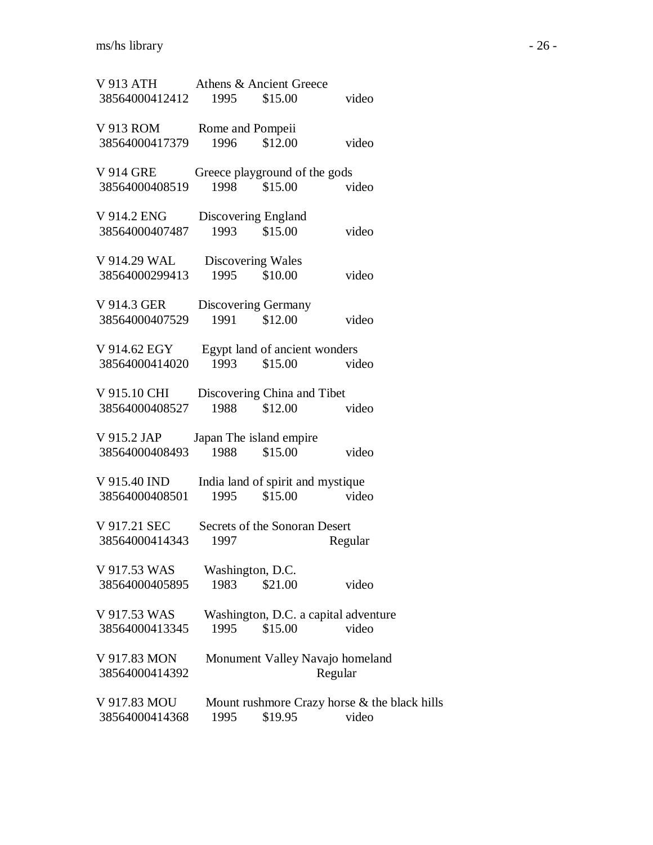| V 913 ATH<br>38564000412412    | 1995                | Athens & Ancient Greece<br>\$15.00       | video                                        |
|--------------------------------|---------------------|------------------------------------------|----------------------------------------------|
| V 913 ROM                      | Rome and Pompeii    |                                          |                                              |
| 38564000417379                 | 1996                | \$12.00                                  | video                                        |
| V 914 GRE<br>38564000408519    | 1998                | Greece playground of the gods<br>\$15.00 | video                                        |
| V 914.2 ENG                    | Discovering England |                                          |                                              |
| 38564000407487                 | 1993                | \$15.00                                  | video                                        |
| V 914.29 WAL                   | Discovering Wales   |                                          |                                              |
| 38564000299413                 |                     | 1995 \$10.00                             | video                                        |
| V 914.3 GER<br>38564000407529  | 1991                | Discovering Germany<br>\$12.00           | video                                        |
| V 914.62 EGY                   |                     | Egypt land of ancient wonders            |                                              |
| 38564000414020                 | 1993                | \$15.00                                  | video                                        |
| V 915.10 CHI<br>38564000408527 | 1988                | Discovering China and Tibet<br>\$12.00   | video                                        |
|                                |                     |                                          |                                              |
| V 915.2 JAP<br>38564000408493  | 1988                | Japan The island empire<br>\$15.00       | video                                        |
| V 915.40 IND                   |                     | India land of spirit and mystique        |                                              |
| 38564000408501                 | 1995                | \$15.00                                  | video                                        |
| V 917.21 SEC<br>38564000414343 | 1997                | Secrets of the Sonoran Desert            | Regular                                      |
| V 917.53 WAS                   | Washington, D.C.    |                                          |                                              |
| 38564000405895                 | 1983                | \$21.00                                  | video                                        |
| V 917.53 WAS                   |                     | Washington, D.C. a capital adventure     |                                              |
| 38564000413345                 | 1995                | \$15.00                                  | video                                        |
| V 917.83 MON<br>38564000414392 |                     | Monument Valley Navajo homeland          | Regular                                      |
| V 917.83 MOU                   |                     |                                          | Mount rushmore Crazy horse & the black hills |
| 38564000414368                 | 1995                | \$19.95                                  | video                                        |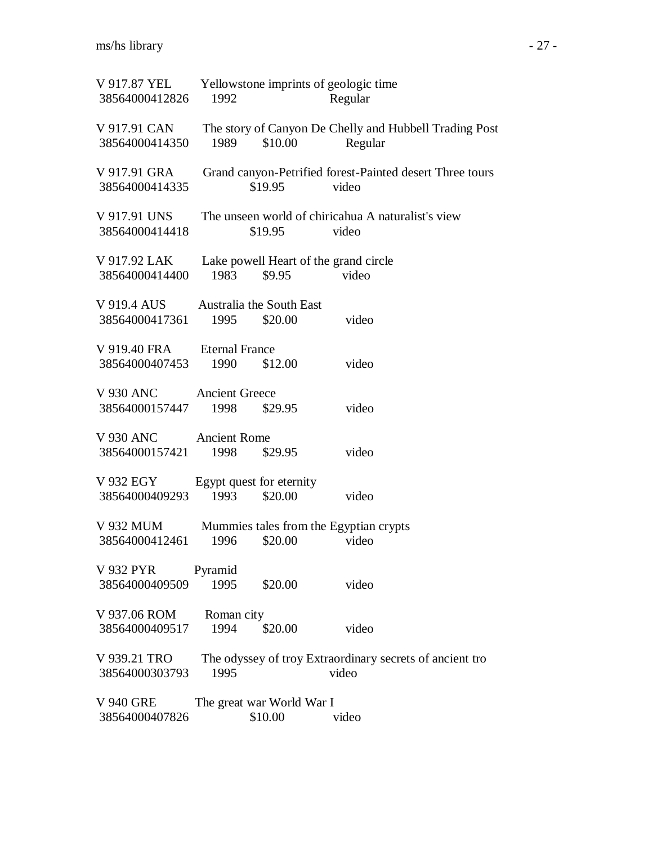| V 917.87 YEL Yellowstone imprints of geologic time<br>38564000412826 | 1992               |                                      | Regular                                                           |  |
|----------------------------------------------------------------------|--------------------|--------------------------------------|-------------------------------------------------------------------|--|
| V 917.91 CAN<br>38564000414350                                       | 1989               | \$10.00                              | The story of Canyon De Chelly and Hubbell Trading Post<br>Regular |  |
| V 917.91 GRA<br>38564000414335                                       |                    | \$19.95                              | Grand canyon-Petrified forest-Painted desert Three tours<br>video |  |
| V 917.91 UNS<br>38564000414418                                       |                    | \$19.95                              | The unseen world of chiricahua A naturalist's view<br>video       |  |
| V 917.92 LAK<br>38564000414400                                       | 1983               | \$9.95                               | Lake powell Heart of the grand circle<br>video                    |  |
| V 919.4 AUS Australia the South East<br>38564000417361               | 1995               | \$20.00                              | video                                                             |  |
| V 919.40 FRA Eternal France<br>38564000407453                        | 1990               | \$12.00                              | video                                                             |  |
| V 930 ANC Ancient Greece<br>38564000157447                           | 1998               | \$29.95                              | video                                                             |  |
| V 930 ANC Ancient Rome<br>38564000157421 1998                        |                    | \$29.95                              | video                                                             |  |
| V 932 EGY<br>38564000409293                                          | 1993               | Egypt quest for eternity<br>\$20.00  | video                                                             |  |
| 38564000412461                                                       | 1996               | \$20.00                              | V 932 MUM Mummies tales from the Egyptian crypts<br>video         |  |
| V 932 PYR<br>38564000409509                                          | Pyramid<br>1995    | \$20.00                              | video                                                             |  |
| V 937.06 ROM<br>38564000409517                                       | Roman city<br>1994 | \$20.00                              | video                                                             |  |
| V 939.21 TRO<br>38564000303793                                       | 1995               |                                      | The odyssey of troy Extraordinary secrets of ancient tro<br>video |  |
| <b>V 940 GRE</b><br>38564000407826                                   |                    | The great war World War I<br>\$10.00 | video                                                             |  |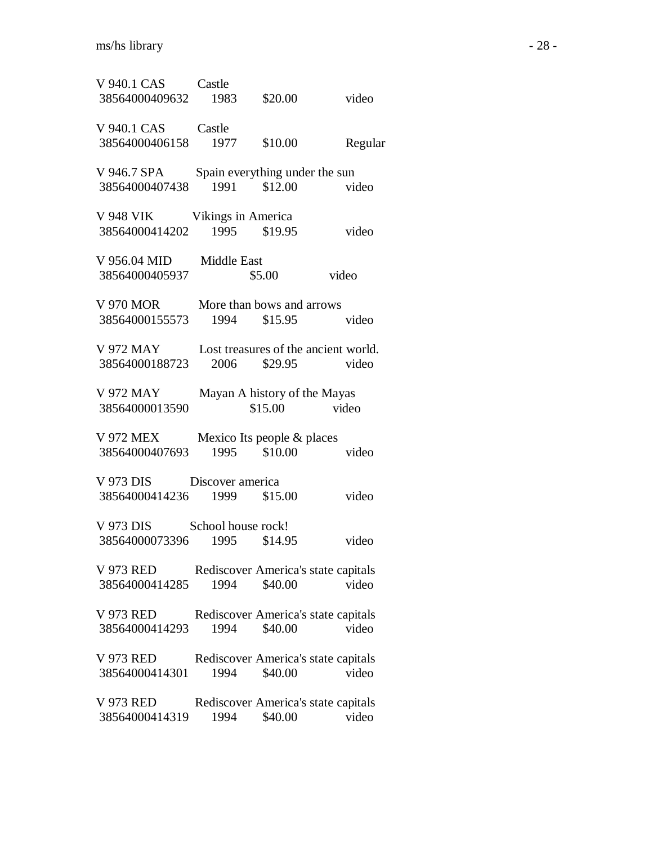| V 940.1 CAS Castle<br>38564000409632 1983                       |                                   | \$20.00                                 | video                                         |
|-----------------------------------------------------------------|-----------------------------------|-----------------------------------------|-----------------------------------------------|
| V 940.1 CAS<br>38564000406158                                   | Castle<br>1977                    | \$10.00                                 | Regular                                       |
| V 946.7 SPA Spain everything under the sun<br>38564000407438    |                                   | 1991 \$12.00                            | video                                         |
| <b>V 948 VIK</b><br>38564000414202                              | Vikings in America                | 1995 \$19.95                            | video                                         |
| V 956.04 MID Middle East<br>38564000405937                      |                                   | \$5.00                                  | video                                         |
| V 970 MOR<br>38564000155573                                     | More than bows and arrows<br>1994 | \$15.95                                 | video                                         |
| V 972 MAY<br>38564000188723                                     |                                   | 2006 \$29.95                            | Lost treasures of the ancient world.<br>video |
| V 972 MAY<br>38564000013590                                     |                                   | Mayan A history of the Mayas<br>\$15.00 | video                                         |
| V 972 MEX<br>38564000407693                                     | Mexico Its people & places        | 1995 \$10.00                            | video                                         |
| V 973 DIS Discover america<br>38564000414236 1999 \$15.00       |                                   |                                         | video                                         |
| V 973 DIS School house rock!<br>38564000073396                  | 1995                              | \$14.95                                 | video                                         |
| V 973 RED<br>38564000414285                                     | 1994                              | \$40.00                                 | Rediscover America's state capitals<br>video  |
| V 973 RED Rediscover America's state capitals<br>38564000414293 | 1994                              | \$40.00                                 | video                                         |
| V 973 RED<br>38564000414301                                     | 1994                              | \$40.00                                 | Rediscover America's state capitals<br>video  |
| V 973 RED<br>38564000414319                                     | 1994                              | \$40.00                                 | Rediscover America's state capitals<br>video  |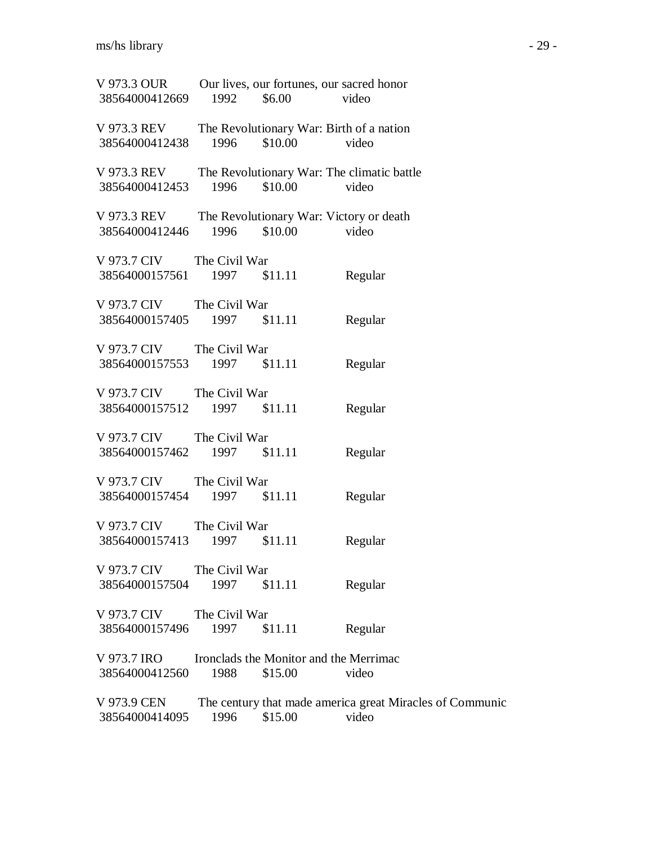| V 973.3 OUR<br>38564000412669 1992 \$6.00                |                               | Our lives, our fortunes, our sacred honor                  | video                                                             |
|----------------------------------------------------------|-------------------------------|------------------------------------------------------------|-------------------------------------------------------------------|
| V 973.3 REV<br>38564000412438                            | 1996                          | The Revolutionary War: Birth of a nation<br>$$10.00$ video |                                                                   |
| V 973.3 REV<br>38564000412453                            | 1996                          | The Revolutionary War: The climatic battle<br>\$10.00      | video                                                             |
| V 973.3 REV<br>38564000412446                            | 1996                          | The Revolutionary War: Victory or death<br>\$10.00         | video                                                             |
| V 973.7 CIV The Civil War<br>38564000157561 1997 \$11.11 |                               |                                                            | Regular                                                           |
| V 973.7 CIV<br>38564000157405 1997                       | The Civil War                 | \$11.11                                                    | Regular                                                           |
| V 973.7 CIV<br>38564000157553 1997 \$11.11               | The Civil War                 |                                                            | Regular                                                           |
| V 973.7 CIV The Civil War<br>38564000157512              | 1997 \$11.11                  |                                                            | Regular                                                           |
| V 973.7 CIV The Civil War<br>38564000157462 1997 \$11.11 |                               |                                                            | Regular                                                           |
| V 973.7 CIV The Civil War<br>38564000157454              | 1997 \$11.11                  |                                                            | Regular                                                           |
| V 973.7 CIV<br>38564000157413                            | The Civil War<br>1997 \$11.11 |                                                            |                                                                   |
| V 973.7 CIV                                              | The Civil War                 |                                                            | Regular                                                           |
| 38564000157504<br>V 973.7 CIV                            | 1997<br>The Civil War         | \$11.11                                                    | Regular                                                           |
| 38564000157496<br>V 973.7 IRO                            | 1997                          | \$11.11<br>Ironclads the Monitor and the Merrimac          | Regular                                                           |
| 38564000412560<br>V 973.9 CEN                            | 1988                          | \$15.00                                                    | video<br>The century that made america great Miracles of Communic |
| 38564000414095                                           | 1996                          | \$15.00                                                    | video                                                             |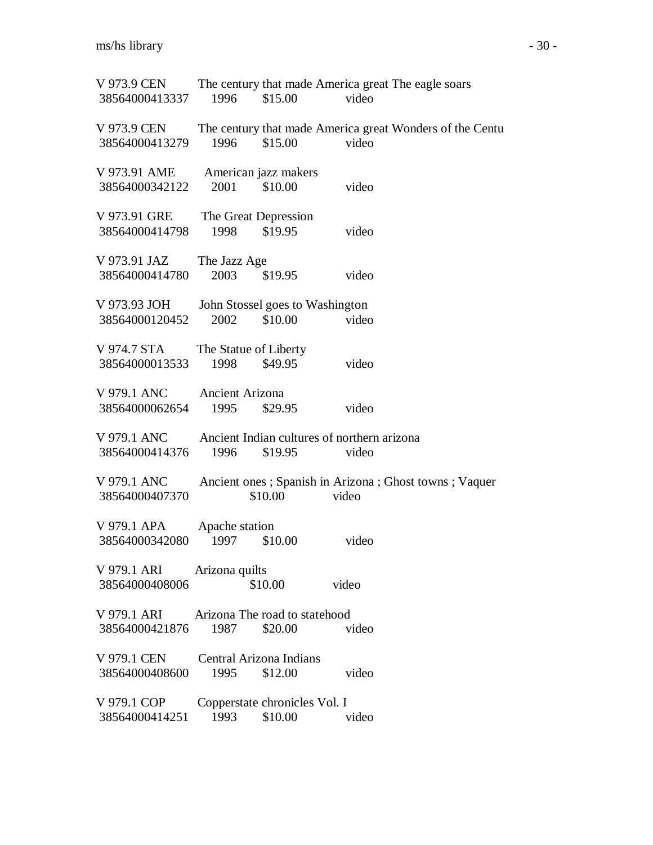V 973.9 CEN The century that made America great The eagle soars 38564000413337 1996 \$15.00 video V 973.9 CEN The century that made America great Wonders of the Centu 38564000413279 1996 \$15.00 video V 973.91 AME American jazz makers 38564000342122 2001 \$10.00 video V 973.91 GRE The Great Depression 38564000414798 1998 \$19.95 video V 973.91 JAZ The Jazz Age 38564000414780 2003 \$19.95 video V 973.93 JOH John Stossel goes to Washington 38564000120452 2002 \$10.00 video V 974.7 STA The Statue of Liberty 38564000013533 1998 \$49.95 video V 979.1 ANC Ancient Arizona 38564000062654 1995 \$29.95 video V 979.1 ANC Ancient Indian cultures of northern arizona 38564000414376 1996 \$19.95 video V 979.1 ANC Ancient ones ; Spanish in Arizona ; Ghost towns ; Vaquer 38564000407370 \$10.00 video V 979.1 APA Apache station 38564000342080 1997 \$10.00 video V 979.1 ARI Arizona quilts 38564000408006 \$10.00 video V 979.1 ARI Arizona The road to statehood 38564000421876 1987 \$20.00 video V 979.1 CEN Central Arizona Indians 38564000408600 1995 \$12.00 video V 979.1 COP Copperstate chronicles Vol. I 38564000414251 1993 \$10.00 video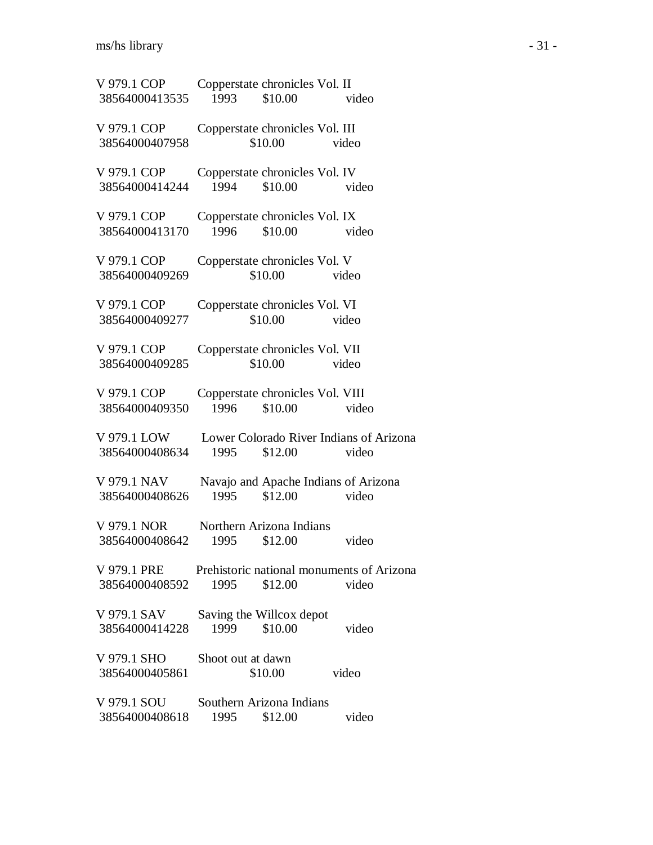| V 979.1 COP<br>38564000413535                                           | Copperstate chronicles Vol. II<br>1993   | \$10.00 | video                                            |  |
|-------------------------------------------------------------------------|------------------------------------------|---------|--------------------------------------------------|--|
| V 979.1 COP<br>38564000407958                                           | Copperstate chronicles Vol. III          | \$10.00 | video                                            |  |
| V 979.1 COP<br>38564000414244                                           | Copperstate chronicles Vol. IV<br>1994   | \$10.00 | video                                            |  |
| V 979.1 COP<br>38564000413170                                           | Copperstate chronicles Vol. IX<br>1996   | \$10.00 | video                                            |  |
| V 979.1 COP<br>38564000409269                                           | Copperstate chronicles Vol. V            | \$10.00 | video                                            |  |
| V 979.1 COP<br>38564000409277                                           | Copperstate chronicles Vol. VI           | \$10.00 | video                                            |  |
| V 979.1 COP<br>38564000409285                                           | Copperstate chronicles Vol. VII          | \$10.00 | video                                            |  |
| V 979.1 COP<br>38564000409350                                           | Copperstate chronicles Vol. VIII<br>1996 | \$10.00 | video                                            |  |
| V 979.1 LOW<br>38564000408634                                           | 1995                                     | \$12.00 | Lower Colorado River Indians of Arizona<br>video |  |
| V 979.1 NAV<br>38564000408626                                           | 1995                                     | \$12.00 | Navajo and Apache Indians of Arizona<br>video    |  |
| V 979.1 NOR<br>38564000408642                                           | Northern Arizona Indians<br>1995         | \$12.00 | video                                            |  |
| V 979.1 PRE Prehistoric national monuments of Arizona<br>38564000408592 | 1995                                     | \$12.00 | video                                            |  |
| V 979.1 SAV<br>38564000414228                                           | Saving the Willcox depot<br>1999         | \$10.00 | video                                            |  |
| V 979.1 SHO<br>38564000405861                                           | Shoot out at dawn                        | \$10.00 | video                                            |  |
| V 979.1 SOU<br>38564000408618                                           | Southern Arizona Indians<br>1995         | \$12.00 | video                                            |  |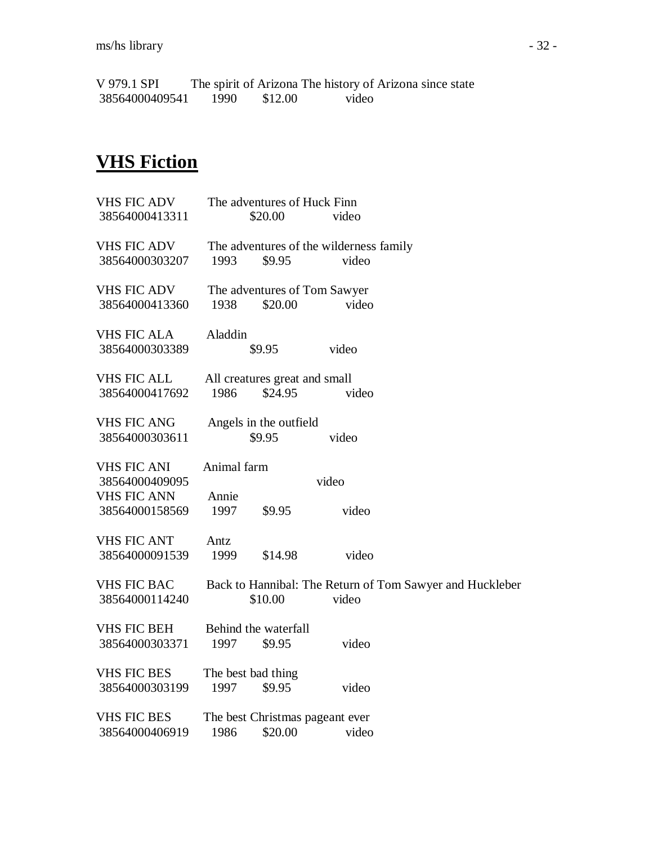V 979.1 SPI The spirit of Arizona The history of Arizona since state<br>38564000409541 1990 \$12.00 video 38564000409541

## **VHS Fiction**

| <b>VHS FIC ADV</b> |                    | The adventures of Huck Finn     |                                         |                                                          |
|--------------------|--------------------|---------------------------------|-----------------------------------------|----------------------------------------------------------|
| 38564000413311     |                    | \$20.00                         | video                                   |                                                          |
| <b>VHS FIC ADV</b> |                    |                                 | The adventures of the wilderness family |                                                          |
| 38564000303207     | 1993               | \$9.95                          | video                                   |                                                          |
| <b>VHS FIC ADV</b> |                    | The adventures of Tom Sawyer    |                                         |                                                          |
| 38564000413360     | 1938               | \$20.00                         | video                                   |                                                          |
| <b>VHS FIC ALA</b> | Aladdin            |                                 |                                         |                                                          |
| 38564000303389     |                    | \$9.95                          | video                                   |                                                          |
| <b>VHS FIC ALL</b> |                    | All creatures great and small   |                                         |                                                          |
| 38564000417692     | 1986               | \$24.95                         | video                                   |                                                          |
| <b>VHS FIC ANG</b> |                    | Angels in the outfield          |                                         |                                                          |
| 38564000303611     |                    | \$9.95                          | video                                   |                                                          |
| <b>VHS FIC ANI</b> | Animal farm        |                                 |                                         |                                                          |
| 38564000409095     |                    |                                 | video                                   |                                                          |
| <b>VHS FIC ANN</b> | Annie              |                                 |                                         |                                                          |
| 38564000158569     | 1997               | \$9.95                          | video                                   |                                                          |
| <b>VHS FIC ANT</b> | Antz               |                                 |                                         |                                                          |
| 38564000091539     | 1999               | \$14.98                         | video                                   |                                                          |
| <b>VHS FIC BAC</b> |                    |                                 |                                         | Back to Hannibal: The Return of Tom Sawyer and Huckleber |
| 38564000114240     |                    | \$10.00                         | video                                   |                                                          |
| <b>VHS FIC BEH</b> |                    | Behind the waterfall            |                                         |                                                          |
| 38564000303371     | 1997               | \$9.95                          | video                                   |                                                          |
| <b>VHS FIC BES</b> | The best bad thing |                                 |                                         |                                                          |
| 38564000303199     | 1997               | \$9.95                          | video                                   |                                                          |
| <b>VHS FIC BES</b> |                    | The best Christmas pageant ever |                                         |                                                          |
| 38564000406919     | 1986               | \$20.00                         | video                                   |                                                          |
|                    |                    |                                 |                                         |                                                          |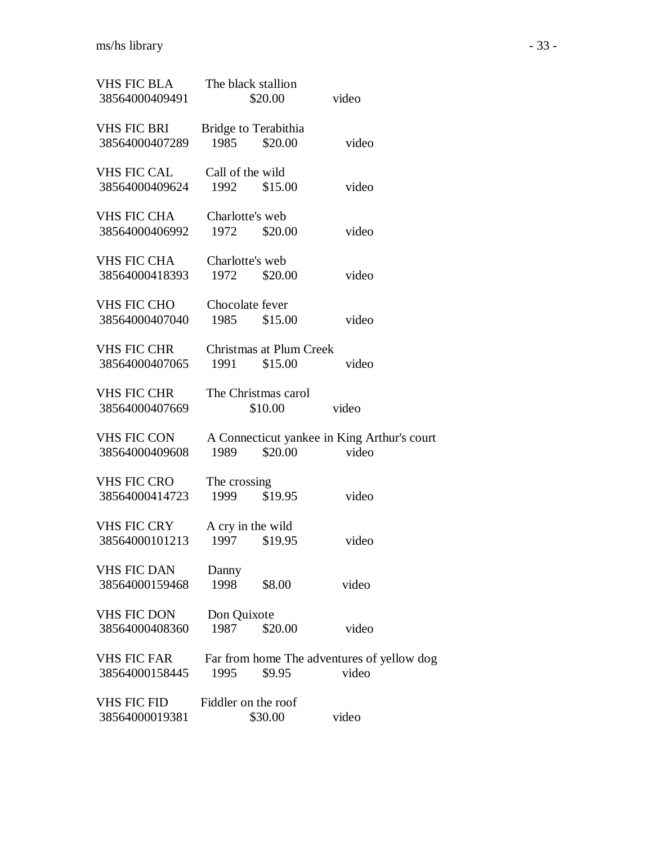| VHS FIC BLA<br>38564000409491        | The black stallion              | \$20.00 | video                                                |  |
|--------------------------------------|---------------------------------|---------|------------------------------------------------------|--|
| VHS FIC BRI<br>38564000407289        | Bridge to Terabithia<br>1985    | \$20.00 | video                                                |  |
| <b>VHS FIC CAL</b><br>38564000409624 | Call of the wild<br>1992        | \$15.00 | video                                                |  |
| VHS FIC CHA<br>38564000406992        | Charlotte's web<br>1972         | \$20.00 | video                                                |  |
| VHS FIC CHA<br>38564000418393        | Charlotte's web<br>1972         | \$20.00 | video                                                |  |
| <b>VHS FIC CHO</b><br>38564000407040 | Chocolate fever<br>1985         | \$15.00 | video                                                |  |
| <b>VHS FIC CHR</b><br>38564000407065 | Christmas at Plum Creek<br>1991 | \$15.00 | video                                                |  |
| <b>VHS FIC CHR</b><br>38564000407669 | The Christmas carol             | \$10.00 | video                                                |  |
| VHS FIC CON<br>38564000409608        | 1989                            | \$20.00 | A Connecticut yankee in King Arthur's court<br>video |  |
| <b>VHS FIC CRO</b><br>38564000414723 | The crossing<br>1999            | \$19.95 | video                                                |  |
| <b>VHS FIC CRY</b><br>38564000101213 | A cry in the wild<br>1997       | \$19.95 | video                                                |  |
| <b>VHS FIC DAN</b><br>38564000159468 | Danny<br>1998                   | \$8.00  | video                                                |  |
| VHS FIC DON<br>38564000408360        | Don Quixote<br>1987             | \$20.00 | video                                                |  |
| <b>VHS FIC FAR</b><br>38564000158445 | 1995                            | \$9.95  | Far from home The adventures of yellow dog<br>video  |  |
| <b>VHS FIC FID</b><br>38564000019381 | Fiddler on the roof             | \$30.00 | video                                                |  |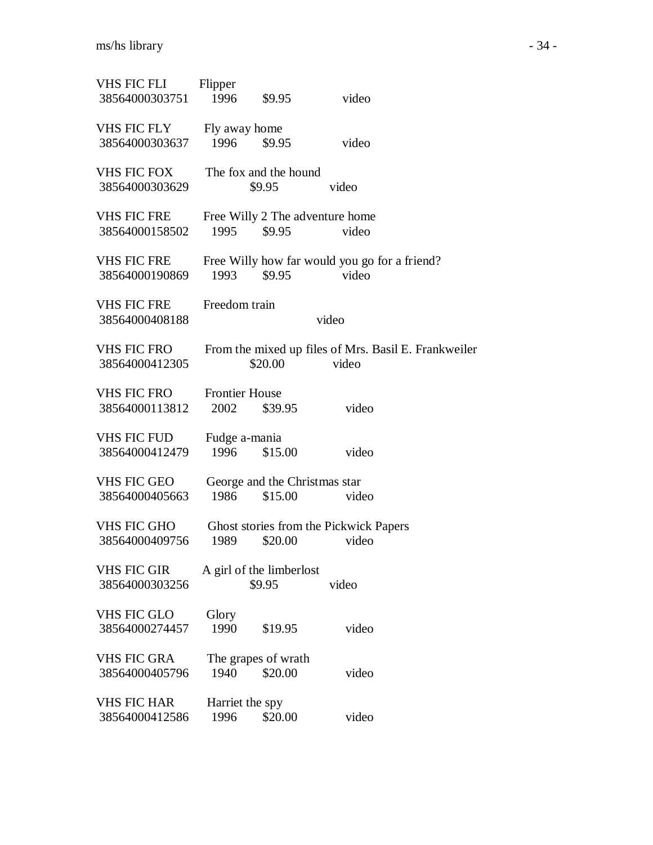| VHS FIC FLI<br>38564000303751        | Flipper<br>1996               | \$9.95                                   | video                                                         |  |
|--------------------------------------|-------------------------------|------------------------------------------|---------------------------------------------------------------|--|
| <b>VHS FIC FLY</b><br>38564000303637 | Fly away home<br>1996         | \$9.95                                   | video                                                         |  |
| <b>VHS FIC FOX</b><br>38564000303629 |                               | The fox and the hound<br>\$9.95          | video                                                         |  |
| <b>VHS FIC FRE</b><br>38564000158502 | 1995                          | \$9.95                                   | Free Willy 2 The adventure home<br>video                      |  |
| <b>VHS FIC FRE</b><br>38564000190869 | 1993                          | \$9.95                                   | Free Willy how far would you go for a friend?<br>video        |  |
| <b>VHS FIC FRE</b><br>38564000408188 | Freedom train                 |                                          | video                                                         |  |
| <b>VHS FIC FRO</b><br>38564000412305 |                               | \$20.00                                  | From the mixed up files of Mrs. Basil E. Frankweiler<br>video |  |
| <b>VHS FIC FRO</b><br>38564000113812 | <b>Frontier House</b><br>2002 | \$39.95                                  | video                                                         |  |
| <b>VHS FIC FUD</b><br>38564000412479 | Fudge a-mania<br>1996         | \$15.00                                  | video                                                         |  |
| <b>VHS FIC GEO</b><br>38564000405663 | 1986                          | George and the Christmas star<br>\$15.00 | video                                                         |  |
| <b>VHS FIC GHO</b><br>38564000409756 | 1989                          | \$20.00                                  | Ghost stories from the Pickwick Papers<br>video               |  |
| <b>VHS FIC GIR</b><br>38564000303256 |                               | A girl of the limberlost<br>\$9.95       | video                                                         |  |
| <b>VHS FIC GLO</b><br>38564000274457 | Glory<br>1990                 | \$19.95                                  | video                                                         |  |
| <b>VHS FIC GRA</b><br>38564000405796 | 1940                          | The grapes of wrath<br>\$20.00           | video                                                         |  |
| <b>VHS FIC HAR</b><br>38564000412586 | Harriet the spy<br>1996       | \$20.00                                  | video                                                         |  |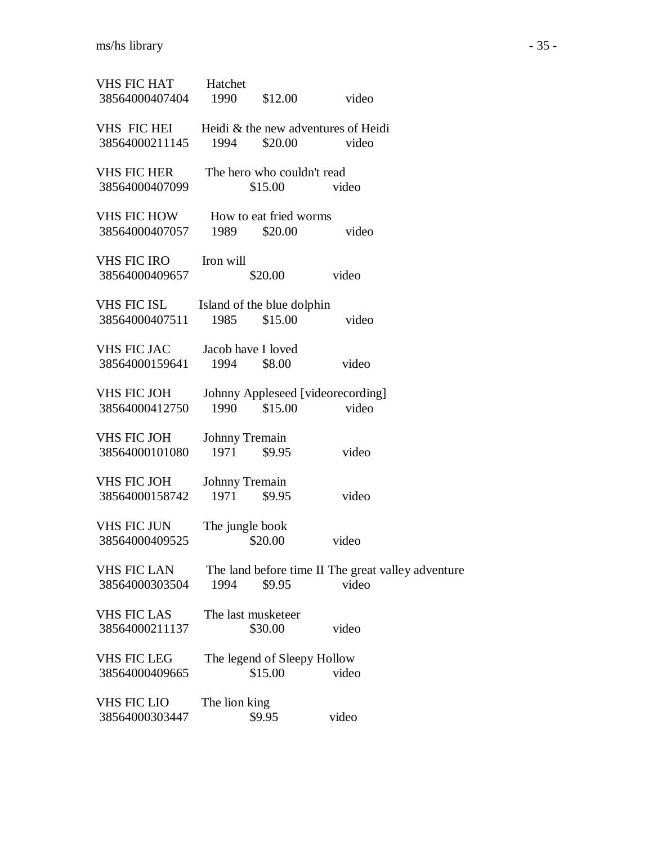| <b>VHS FIC HAT</b><br>38564000407404 | Hatchet<br>1990            | \$12.00                                | video                                                       |  |
|--------------------------------------|----------------------------|----------------------------------------|-------------------------------------------------------------|--|
| VHS FIC HEI<br>38564000211145        | 1994                       | \$20.00                                | Heidi & the new adventures of Heidi<br>video                |  |
| <b>VHS FIC HER</b><br>38564000407099 |                            | The hero who couldn't read<br>\$15.00  | video                                                       |  |
| VHS FIC HOW<br>38564000407057        | 1989                       | How to eat fried worms<br>\$20.00      | video                                                       |  |
| <b>VHS FIC IRO</b><br>38564000409657 | Iron will                  | \$20.00                                | video                                                       |  |
| VHS FIC ISL<br>38564000407511        | 1985                       | Island of the blue dolphin<br>\$15.00  | video                                                       |  |
| <b>VHS FIC JAC</b><br>38564000159641 | Jacob have I loved<br>1994 | \$8.00                                 | video                                                       |  |
| <b>VHS FIC JOH</b><br>38564000412750 | 1990                       | \$15.00                                | Johnny Appleseed [videorecording]<br>video                  |  |
| <b>VHS FIC JOH</b><br>38564000101080 | Johnny Tremain<br>1971     | \$9.95                                 | video                                                       |  |
| <b>VHS FIC JOH</b><br>38564000158742 | Johnny Tremain<br>1971     | \$9.95                                 | video                                                       |  |
| <b>VHS FIC JUN</b><br>38564000409525 | The jungle book            | \$20.00                                | video                                                       |  |
| <b>VHS FIC LAN</b><br>38564000303504 | 1994                       | \$9.95                                 | The land before time II The great valley adventure<br>video |  |
| <b>VHS FIC LAS</b><br>38564000211137 |                            | The last musketeer<br>\$30.00          | video                                                       |  |
| <b>VHS FIC LEG</b><br>38564000409665 |                            | The legend of Sleepy Hollow<br>\$15.00 | video                                                       |  |
| VHS FIC LIO<br>38564000303447        | The lion king              | \$9.95                                 | video                                                       |  |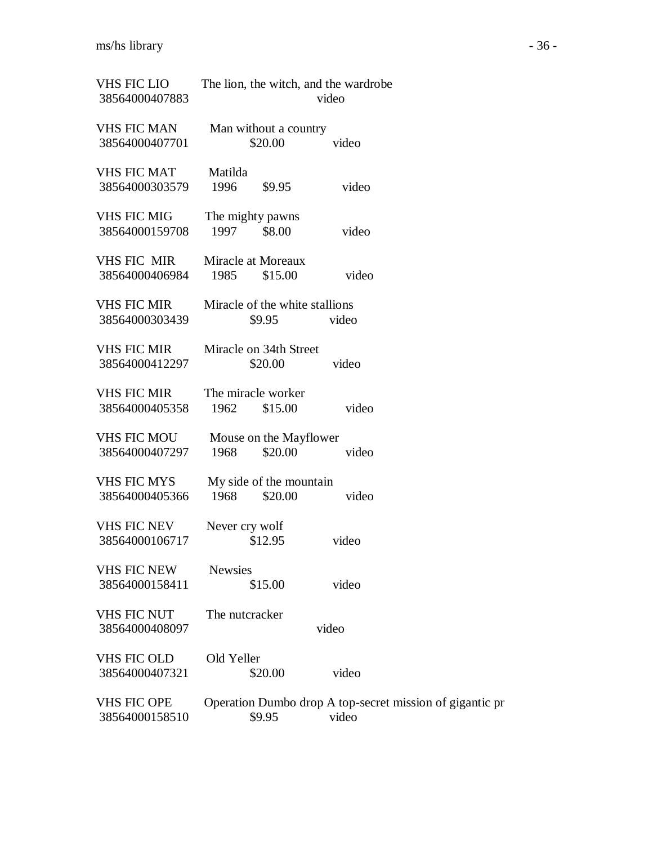| <b>VHS FIC LIO</b><br>38564000407883 | The lion, the witch, and the wardrobe<br>video                              |  |  |  |
|--------------------------------------|-----------------------------------------------------------------------------|--|--|--|
| <b>VHS FIC MAN</b><br>38564000407701 | Man without a country<br>\$20.00<br>video                                   |  |  |  |
| <b>VHS FIC MAT</b><br>38564000303579 | Matilda<br>1996<br>\$9.95<br>video                                          |  |  |  |
| <b>VHS FIC MIG</b><br>38564000159708 | The mighty pawns<br>1997<br>\$8.00<br>video                                 |  |  |  |
| <b>VHS FIC MIR</b><br>38564000406984 | Miracle at Moreaux<br>1985<br>\$15.00<br>video                              |  |  |  |
| <b>VHS FIC MIR</b><br>38564000303439 | Miracle of the white stallions<br>\$9.95<br>video                           |  |  |  |
| <b>VHS FIC MIR</b><br>38564000412297 | Miracle on 34th Street<br>\$20.00<br>video                                  |  |  |  |
| <b>VHS FIC MIR</b><br>38564000405358 | The miracle worker<br>video<br>1962<br>\$15.00                              |  |  |  |
| <b>VHS FIC MOU</b><br>38564000407297 | Mouse on the Mayflower<br>1968<br>\$20.00<br>video                          |  |  |  |
| <b>VHS FIC MYS</b><br>38564000405366 | My side of the mountain<br>1968<br>\$20.00<br>video                         |  |  |  |
| <b>VHS FIC NEV</b><br>38564000106717 | Never cry wolf<br>\$12.95<br>video                                          |  |  |  |
| <b>VHS FIC NEW</b><br>38564000158411 | <b>Newsies</b><br>video<br>\$15.00                                          |  |  |  |
| <b>VHS FIC NUT</b><br>38564000408097 | The nutcracker<br>video                                                     |  |  |  |
| <b>VHS FIC OLD</b><br>38564000407321 | Old Yeller<br>video<br>\$20.00                                              |  |  |  |
| <b>VHS FIC OPE</b><br>38564000158510 | Operation Dumbo drop A top-secret mission of gigantic pr<br>video<br>\$9.95 |  |  |  |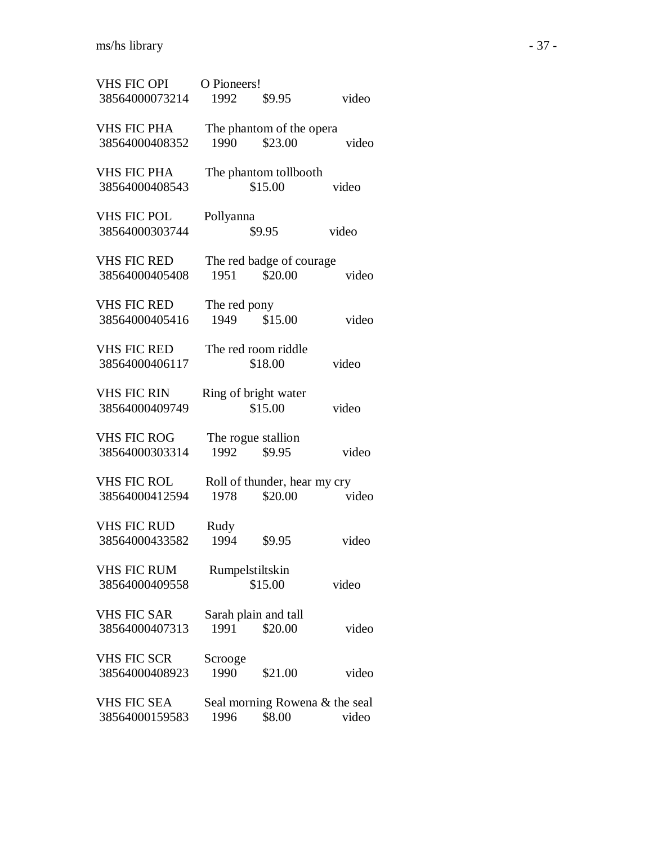| <b>VHS FIC OPI</b> | O Pioneers!                    |
|--------------------|--------------------------------|
| 38564000073214     | video<br>1992<br>\$9.95        |
| <b>VHS FIC PHA</b> | The phantom of the opera       |
| 38564000408352     | \$23.00<br>1990<br>video       |
| <b>VHS FIC PHA</b> | The phantom tollbooth          |
| 38564000408543     | \$15.00<br>video               |
| <b>VHS FIC POL</b> | Pollyanna                      |
| 38564000303744     | \$9.95<br>video                |
| <b>VHS FIC RED</b> | The red badge of courage       |
| 38564000405408     | \$20.00<br>1951<br>video       |
| <b>VHS FIC RED</b> | The red pony                   |
| 38564000405416     | 1949<br>\$15.00<br>video       |
| <b>VHS FIC RED</b> | The red room riddle            |
| 38564000406117     | video<br>\$18.00               |
| <b>VHS FIC RIN</b> | Ring of bright water           |
| 38564000409749     | \$15.00<br>video               |
| <b>VHS FIC ROG</b> | The rogue stallion             |
| 38564000303314     | 1992<br>\$9.95<br>video        |
| VHS FIC ROL        | Roll of thunder, hear my cry   |
| 38564000412594     | \$20.00<br>1978<br>video       |
| <b>VHS FIC RUD</b> | Rudy                           |
| 38564000433582     | 1994<br>\$9.95<br>video        |
| <b>VHS FIC RUM</b> | Rumpelstiltskin                |
| 38564000409558     | \$15.00<br>video               |
| <b>VHS FIC SAR</b> | Sarah plain and tall           |
| 38564000407313     | 1991<br>\$20.00<br>video       |
| <b>VHS FIC SCR</b> | Scrooge                        |
| 38564000408923     | 1990<br>\$21.00<br>video       |
| <b>VHS FIC SEA</b> | Seal morning Rowena & the seal |
| 38564000159583     | \$8.00<br>1996<br>video        |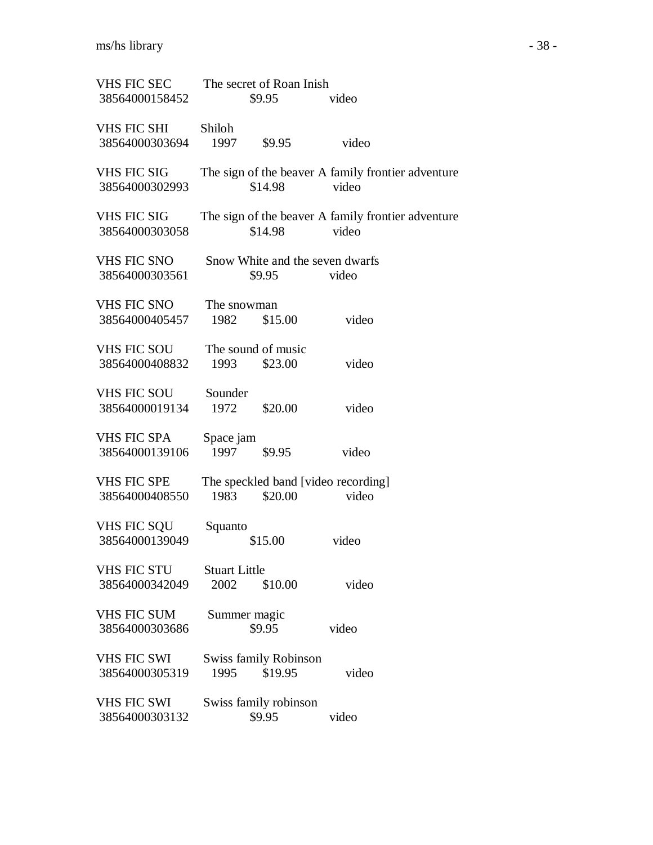| <b>VHS FIC SEC</b><br>38564000158452 | The secret of Roan Inish<br>\$9.95                     | video                                                       |
|--------------------------------------|--------------------------------------------------------|-------------------------------------------------------------|
| VHS FIC SHI<br>38564000303694        | Shiloh<br>1997<br>\$9.95                               | video                                                       |
| <b>VHS FIC SIG</b><br>38564000302993 | \$14.98                                                | The sign of the beaver A family frontier adventure<br>video |
| <b>VHS FIC SIG</b><br>38564000303058 | \$14.98                                                | The sign of the beaver A family frontier adventure<br>video |
| <b>VHS FIC SNO</b><br>38564000303561 | Snow White and the seven dwarfs<br>\$9.95              | video                                                       |
| <b>VHS FIC SNO</b><br>38564000405457 | The snowman<br>1982<br>\$15.00                         | video                                                       |
| <b>VHS FIC SOU</b><br>38564000408832 | The sound of music<br>\$23.00<br>1993                  | video                                                       |
| <b>VHS FIC SOU</b><br>38564000019134 | Sounder<br>1972<br>\$20.00                             | video                                                       |
| <b>VHS FIC SPA</b><br>38564000139106 | Space jam<br>1997<br>\$9.95                            | video                                                       |
| <b>VHS FIC SPE</b><br>38564000408550 | The speckled band [video recording]<br>\$20.00<br>1983 | video                                                       |
| VHS FIC SQU<br>38564000139049        | Squanto<br>\$15.00                                     | video                                                       |
| <b>VHS FIC STU</b><br>38564000342049 | <b>Stuart Little</b><br>2002<br>\$10.00                | video                                                       |
| <b>VHS FIC SUM</b><br>38564000303686 | Summer magic<br>\$9.95                                 | video                                                       |
| <b>VHS FIC SWI</b><br>38564000305319 | <b>Swiss family Robinson</b><br>1995<br>\$19.95        | video                                                       |
| <b>VHS FIC SWI</b><br>38564000303132 | Swiss family robinson<br>\$9.95                        | video                                                       |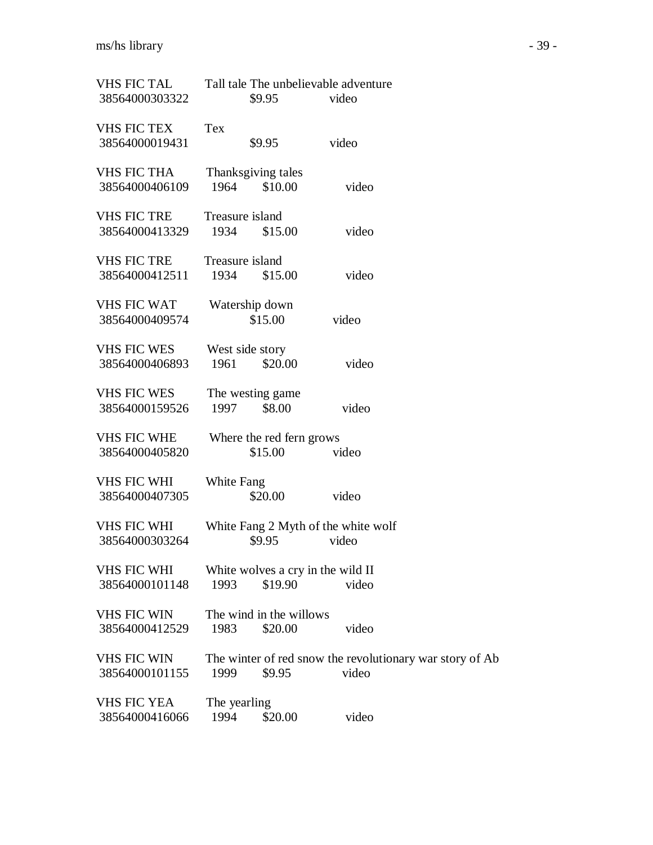| <b>VHS FIC TAL</b><br>38564000303322 |                                                        | Tall tale The unbelievable adventure<br>\$9.95<br>video |                                                                   |  |
|--------------------------------------|--------------------------------------------------------|---------------------------------------------------------|-------------------------------------------------------------------|--|
| <b>VHS FIC TEX</b>                   | Tex                                                    |                                                         |                                                                   |  |
| 38564000019431                       |                                                        | \$9.95                                                  | video                                                             |  |
| <b>VHS FIC THA</b><br>38564000406109 | 1964                                                   | Thanksgiving tales<br>\$10.00                           | video                                                             |  |
| <b>VHS FIC TRE</b><br>38564000413329 | 1934                                                   | Treasure island<br>\$15.00                              | video                                                             |  |
| <b>VHS FIC TRE</b><br>38564000412511 | 1934                                                   | Treasure island<br>\$15.00                              | video                                                             |  |
| <b>VHS FIC WAT</b><br>38564000409574 |                                                        | Watership down<br>\$15.00                               | video                                                             |  |
| <b>VHS FIC WES</b><br>38564000406893 | 1961                                                   | West side story<br>\$20.00                              | video                                                             |  |
| <b>VHS FIC WES</b><br>38564000159526 | 1997                                                   | The westing game<br>\$8.00                              | video                                                             |  |
| <b>VHS FIC WHE</b><br>38564000405820 |                                                        | Where the red fern grows<br>\$15.00                     | video                                                             |  |
| <b>VHS FIC WHI</b><br>38564000407305 | White Fang                                             | \$20.00                                                 | video                                                             |  |
| <b>VHS FIC WHI</b><br>38564000303264 | White Fang 2 Myth of the white wolf<br>\$9.95<br>video |                                                         |                                                                   |  |
| <b>VHS FIC WHI</b><br>38564000101148 | 1993                                                   | White wolves a cry in the wild II<br>\$19.90            | video                                                             |  |
| <b>VHS FIC WIN</b><br>38564000412529 | 1983                                                   | The wind in the willows<br>\$20.00                      | video                                                             |  |
| <b>VHS FIC WIN</b><br>38564000101155 | 1999                                                   | \$9.95                                                  | The winter of red snow the revolutionary war story of Ab<br>video |  |
| <b>VHS FIC YEA</b><br>38564000416066 | The yearling<br>1994                                   | \$20.00                                                 | video                                                             |  |